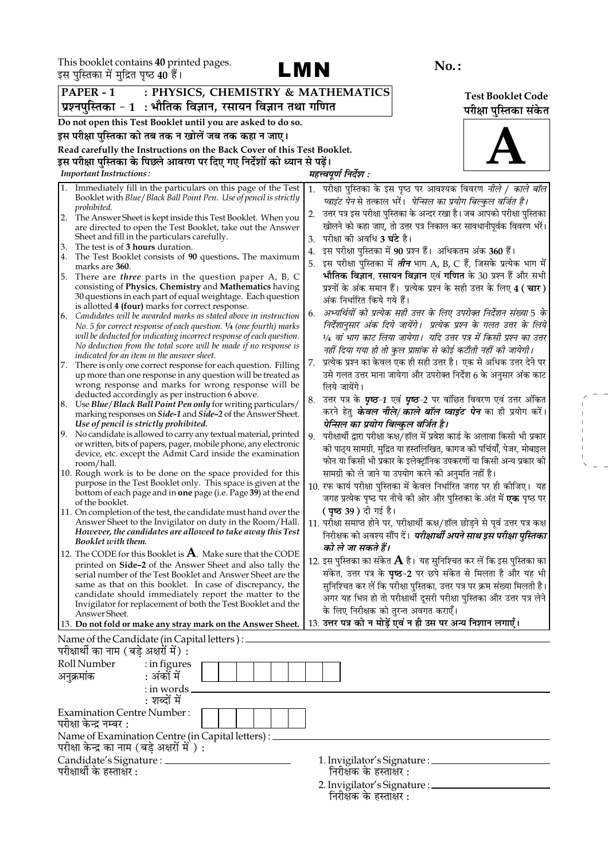

 $\begin{aligned} \mathcal{L}_{\text{max}} = \frac{1}{2} \left( \frac{1}{2} \right) \\ \mathcal{L}_{\text{max}} = \frac{1}{2} \left( \frac{1}{2} \right) \\ \mathcal{L}_{\text{max}} = \frac{1}{2} \left( \frac{1}{2} \right) \\ \mathcal{L}_{\text{max}} = \frac{1}{2} \end{aligned}$ 

|                                | इस पुास्तका म मुद्रित पृष्ठ 40 है।                                                                                                   |                                                                                                                                                                     |                          |
|--------------------------------|--------------------------------------------------------------------------------------------------------------------------------------|---------------------------------------------------------------------------------------------------------------------------------------------------------------------|--------------------------|
| PAPER - 1                      | : PHYSICS, CHEMISTRY & MATHEMATICS                                                                                                   |                                                                                                                                                                     | <b>Test Booklet Code</b> |
|                                | प्रश्नपुस्तिका - 1  : भौतिक विज्ञान, रसायन विज्ञान तथा गणित                                                                          |                                                                                                                                                                     | परीक्षा पुस्तिका संकेत   |
|                                | Do not open this Test Booklet until you are asked to do so.                                                                          |                                                                                                                                                                     |                          |
|                                | इस परीक्षा पुस्तिका को तब तक न खोलें जब तक कहा न जाए।                                                                                |                                                                                                                                                                     |                          |
|                                | Read carefully the Instructions on the Back Cover of this Test Booklet.                                                              |                                                                                                                                                                     |                          |
|                                | इस परीक्षा पुस्तिका के पिछले आवरण पर दिए गए निर्देशों को ध्यान से पढ़ें।                                                             |                                                                                                                                                                     |                          |
| <b>Important Instructions:</b> |                                                                                                                                      | महत्त्वपूर्ण निर्देश :                                                                                                                                              |                          |
| 1.                             | Immediately fill in the particulars on this page of the Test                                                                         | परीक्षा पुस्तिका के इस पृष्ठ पर आवश्यक विवरण <i>नीले / काले बॉल</i><br>1.                                                                                           |                          |
| prohibited.                    | Booklet with Blue/Black Ball Point Pen. Use of pencil is strictly                                                                    | प्वाइंट पेन से तत्काल भरें।  पेन्सिल का प्रयोग बिल्कुल वर्जित है।                                                                                                   |                          |
| 2.                             | The Answer Sheet is kept inside this Test Booklet. When you                                                                          | उत्तर पत्र इस परीक्षा पुस्तिका के अन्दर रखा है। जब आपको परीक्षा पुस्तिका<br>2.                                                                                      |                          |
|                                | are directed to open the Test Booklet, take out the Answer                                                                           | खोलने को कहा जाए, तो उत्तर पत्र निकाल कर सावधानीपूर्वक विवरण भरें।                                                                                                  |                          |
| 3.                             | Sheet and fill in the particulars carefully.<br>The test is of 3 hours duration.                                                     | परीक्षा की अवधि <b>3 घंटे</b> है।<br>3.                                                                                                                             |                          |
| 4.                             | The Test Booklet consists of 90 questions. The maximum                                                                               | इस परीक्षा पुस्तिका में 90 प्रश्न हैं। अधिकतम अंक 360 हैं।<br>4.                                                                                                    |                          |
| marks are 360.                 |                                                                                                                                      | इस परीक्षा पुस्तिका में <i>तीन</i> भाग A, B, C हैं, जिसके प्रत्येक भाग में<br>5.<br>भौतिक विज्ञान, रसायन विज्ञान एवं गणित के 30 प्रश्न हैं और सभी                   |                          |
| 5.                             | There are <i>three</i> parts in the question paper A, B, C<br>consisting of Physics, Chemistry and Mathematics having                | प्रश्नों के अंक समान हैं। प्रत्येक प्रश्न के सही उत्तर के लिए 4 ( चार )                                                                                             |                          |
|                                | 30 questions in each part of equal weightage. Each question                                                                          | अंक निर्धारित किये गये हैं।                                                                                                                                         |                          |
| 6.                             | is allotted 4 (four) marks for correct response.<br>Candidates will be awarded marks as stated above in instruction                  | अभ्यर्थियों को प्रत्येक सही उत्तर के लिए उपरोक्त निर्देशन संख्या 5 के<br>6.                                                                                         |                          |
|                                | No. 5 for correct response of each question. $\frac{1}{4}$ (one fourth) marks                                                        | निर्देशानुसार अंक दिये जायेंगे।  प्रत्येक प्रश्न के गलत उत्तर के लिये                                                                                               |                          |
|                                | will be deducted for indicating incorrect response of each question.                                                                 | 1⁄4 वां भाग काट लिया जायेगा।  यदि उत्तर पत्र में किसी प्रश्न का उत्तर                                                                                               |                          |
|                                | No deduction from the total score will be made if no response is<br>indicated for an item in the answer sheet.                       | नहीं दिया गया हो तो कुल प्राप्तांक से कोई कटौती नहीं की जायेगी।                                                                                                     |                          |
| 7.                             | There is only one correct response for each question. Filling                                                                        | प्रत्येक प्रश्न का केवल एक ही सही उत्तर है। एक से अधिक उत्तर देने पर<br>7.                                                                                          |                          |
|                                | up more than one response in any question will be treated as                                                                         | उसे गलत उत्तर माना जायेगा और उपरोक्त निर्देश 6 के अनुसार अंक काट                                                                                                    |                          |
|                                | wrong response and marks for wrong response will be<br>deducted accordingly as per instruction 6 above.                              | लिये जायेंगे।                                                                                                                                                       |                          |
|                                | 8. Use Blue/Black Ball Point Pen only for writing particulars/                                                                       | उत्तर पत्र के <i>पृष्ठ-1</i> एवं <i>पृष्ठ-2</i> पर वांछित विवरण एवं उत्तर अंकित<br>8.<br>करने हेतु <b><i>केवल नीले/ काले बॉल प्वाइंट पेन</i> का</b> ही प्रयोग करें। |                          |
|                                | marking responses on <i>Side-1</i> and <i>Side-2</i> of the Answer Sheet.<br>Use of pencil is strictly prohibited.                   | पेन्सिल का प्रयोग बिल्कुल वर्जित है।                                                                                                                                |                          |
| 9.                             | No candidate is allowed to carry any textual material, printed                                                                       | परीक्षार्थी द्वारा परीक्षा कक्ष/हॉल में प्रवेश कार्ड के अलावा किसी भी प्रकार<br>9.                                                                                  |                          |
|                                | or written, bits of papers, pager, mobile phone, any electronic                                                                      | को पाठ्य सामग्री, मुद्रित या हस्तलिखित, कागज को पर्चियाँ, पेजर, मोबाइल                                                                                              |                          |
| room/hall.                     | device, etc. except the Admit Card inside the examination                                                                            | फोन या किसी भी प्रकार के इलेक्ट्रॉनिक उपकरणों या किसी अन्य प्रकार की                                                                                                |                          |
|                                | 10. Rough work is to be done on the space provided for this                                                                          | सामग्री को ले जाने या उपयोग करने की अनुमति नहीं है।                                                                                                                 |                          |
|                                | purpose in the Test Booklet only. This space is given at the<br>bottom of each page and in <b>one</b> page (i.e. Page 39) at the end | 10. रफ कार्य परीक्षा पुस्तिका में केवल निर्धारित जगह पर ही कीजिए। यह                                                                                                |                          |
| of the booklet.                |                                                                                                                                      | जगह प्रत्येक पृष्ठ पर नीचे की ओर और पुस्तिका के अंत में <b>एक</b> पृष्ठ पर                                                                                          |                          |
|                                | 11. On completion of the test, the candidate must hand over the                                                                      | <b>( पृष्ठ 39 )</b> दी गई है।                                                                                                                                       |                          |
|                                | Answer Sheet to the Invigilator on duty in the Room/Hall.<br>However, the candidates are allowed to take away this Test              | 11. परीक्षा समाप्त होने पर, परीक्षार्थी कक्ष/हॉल छोड़ने से पूर्व उत्तर पत्र कक्ष                                                                                    |                          |
|                                | Booklet with them.                                                                                                                   | निरीक्षक को अवश्य सौंप दें। <i>परीक्षार्थी अपने साथ इस परीक्षा पुस्तिका</i><br>को ले जा सकते हैं।                                                                   |                          |
|                                | 12. The CODE for this Booklet is $\bf{A}$ . Make sure that the CODE                                                                  | 12. इस पुस्तिका का संकेत ${\bf A}$ है। यह सुनिश्चित कर लें कि इस पुस्तिका का                                                                                        |                          |
|                                | printed on Side-2 of the Answer Sheet and also tally the<br>serial number of the Test Booklet and Answer Sheet are the               | संकेत, उत्तर पत्र के पृष्ठ-2 पर छपे संकेत से मिलता है और यह भी                                                                                                      |                          |
|                                | same as that on this booklet. In case of discrepancy, the                                                                            | सुनिश्चित कर लें कि परीक्षा पुस्तिका, उत्तर पत्र पर क्रम संख्या मिलती है।                                                                                           |                          |
|                                | candidate should immediately report the matter to the                                                                                | अगर यह भिन्न हो तो परीक्षार्थी दूसरी परीक्षा पुस्तिका और उत्तर पत्र लेने                                                                                            |                          |
| Answer Sheet.                  | Invigilator for replacement of both the Test Booklet and the                                                                         | के लिए निरीक्षक को तुरन्त अवगत कराएँ।                                                                                                                               |                          |
|                                | 13. Do not fold or make any stray mark on the Answer Sheet.                                                                          | 13. उत्तर पत्र को न मोड़ें एवं न ही उस पर अन्य निशान लगाएँ।                                                                                                         |                          |
|                                | Name of the Candidate (in Capital letters) : _<br>परीक्षार्थी का नाम (बड़े अक्षरों में) :                                            |                                                                                                                                                                     |                          |
| Roll Number                    | $:$ in figures                                                                                                                       |                                                                                                                                                                     |                          |
| अनुक्रमांक                     | : अंकों में                                                                                                                          |                                                                                                                                                                     |                          |
|                                | : in words.                                                                                                                          |                                                                                                                                                                     |                          |
|                                | : शब्दों में                                                                                                                         |                                                                                                                                                                     |                          |
| परीक्षा केन्द्र नम्बर :        | <b>Examination Centre Number:</b>                                                                                                    |                                                                                                                                                                     |                          |
|                                | Name of Examination Centre (in Capital letters) : _<br>परीक्षा केन्द्र का नाम (बड़े अक्षरों में ) :                                  |                                                                                                                                                                     |                          |
|                                | Candidate's Signature : _______                                                                                                      | 1. Invigilator's Signature : ______________                                                                                                                         |                          |
| परीक्षार्थी के हस्ताक्षर :     |                                                                                                                                      | निरीक्षक के हस्ताक्षर :                                                                                                                                             |                          |

निरीक्षक के हस्ताक्षर : 2. Invigilator's Signature : \_<br>निरीक्षक के हस्ताक्षर :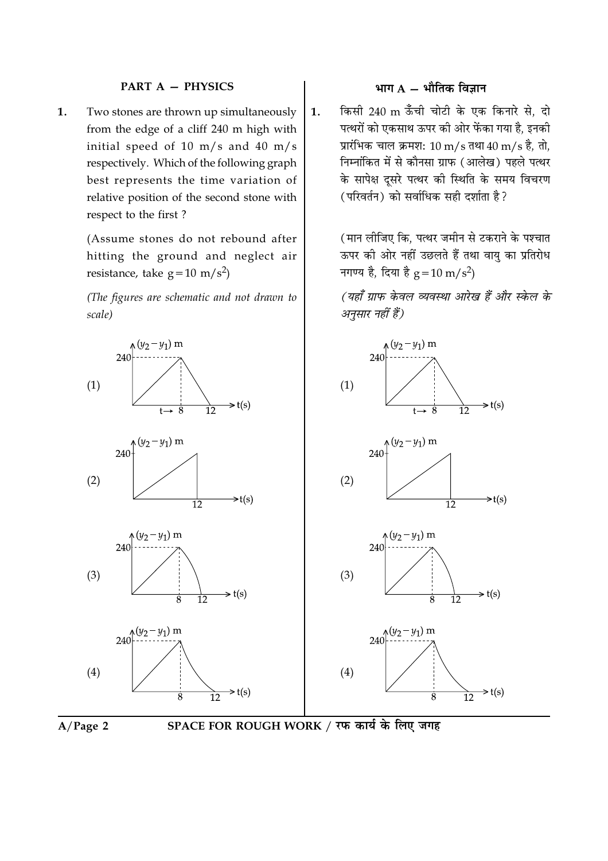### **PART A - PHYSICS**

Two stones are thrown up simultaneously 1. from the edge of a cliff 240 m high with initial speed of 10 m/s and 40 m/s respectively. Which of the following graph best represents the time variation of relative position of the second stone with respect to the first?

> (Assume stones do not rebound after hitting the ground and neglect air resistance, take  $g = 10 \text{ m/s}^2$

> (The figures are schematic and not drawn to scale)

#### $(y_2 - y_1)$  m  $(y_2 - y_1)$  m  $240$  $240$  $(1)$  $(1)$  $\Rightarrow$  t(s)  $\Rightarrow$  t(s)  $240^{(y_2-y_1)}$  m  $\sqrt{(y_2 - y_1)}$  m 240  $(2)$  $(2)$  $\Rightarrow$ t(s)  $\Rightarrow$ t(s)  $\overline{12}$  $\overline{12}$  $(y_2 - y_1)$  m  $(y_2 - y_1)$  m 240 240  $(3)$  $(3)$  $\Rightarrow$  t(s)  $\Rightarrow$  t(s)  $\overline{12}$ Ŕ  $\overline{12}$  $240^{y_2-y_1}$  m  $240^{y_2-y_1}$  m  $(4)$  $(4)$  $\Rightarrow$  t(s)  $\Rightarrow$  t(s)  $\overline{12}$ 12



# भाग  $A - \hat{A}$ मीतिक विज्ञान

किसी 240 m ऊँँची चोटी के एक किनारे से, दो  $\mathbf{1}$ . पत्थरों को एकसाथ ऊपर की ओर फेंका गया है, इनकी प्रारंभिक चाल क्रमश: 10 m/s तथा 40 m/s है, तो, निम्नांकित में से कौनसा ग्राफ (आलेख) पहले पत्थर के सापेक्ष दुसरे पत्थर की स्थिति के समय विचरण (परिवर्तन) को सर्वाधिक सही दर्शाता है?

> (मान लीजिए कि. पत्थर जमीन से टकराने के पश्चात ऊपर की ओर नहीं उछलते हैं तथा वायु का प्रतिरोध नगण्य है, दिया है  $g = 10 \text{ m/s}^2$ )

> (यहाँ ग्राफ केवल व्यवस्था आरेख हैं और स्केल के अनुसार नहीं हैं)

SPACE FOR ROUGH WORK / रफ कार्य के लिए जगह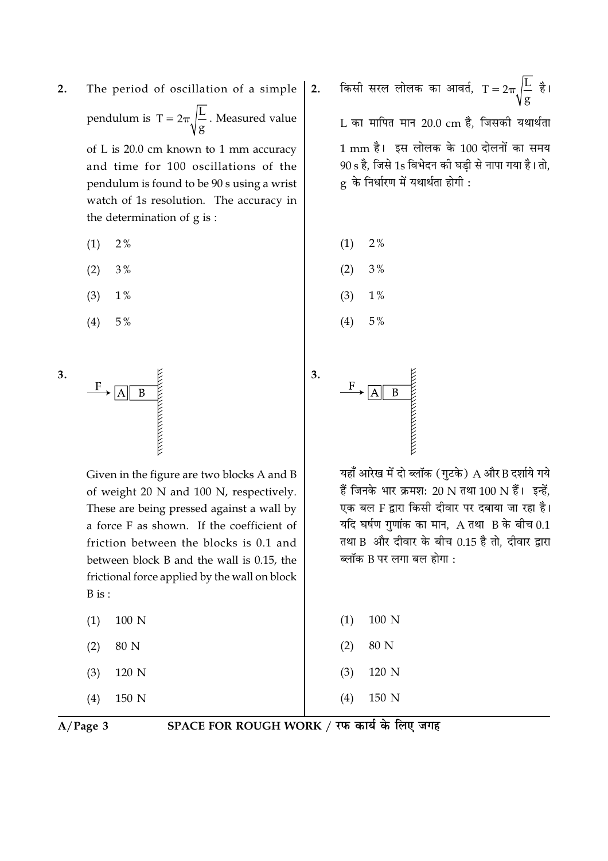$2.$ The period of oscillation of a simple pendulum is  $T = 2\pi \sqrt{\frac{L}{g}}$ . Measured value

of L is 20.0 cm known to 1 mm accuracy and time for 100 oscillations of the pendulum is found to be 90 s using a wrist watch of 1s resolution. The accuracy in the determination of g is:

- $2%$  $(1)$
- $(2)$  $3%$
- $(3)$  $1%$
- $(4)$  $5\%$

3.



Given in the figure are two blocks A and B of weight 20 N and 100 N, respectively. These are being pressed against a wall by a force F as shown. If the coefficient of friction between the blocks is 0.1 and between block B and the wall is 0.15, the frictional force applied by the wall on block  $B$  is :

- 100 N  $(1)$
- 80 N  $(2)$
- 120 N  $(3)$

 $(4)$ 150 N किसी सरल लोलक का आवर्त,  $T = 2\pi \sqrt{\frac{L}{g}}$  है। L का मापित मान 20.0 cm है, जिसकी यथार्थता 1 mm है। इस लोलक के 100 दोलनों का समय 90 s है. जिसे 1s विभेदन की घडी से नापा गया है। तो.  $g$  के निर्धारण में यथार्थता होगी:

 $2\%$  $(1)$ 

 $2.$ 

- $3%$  $(2)$
- $(3)$  $1\%$
- $5%$  $(4)$



यहाँ आरेख में दो ब्लॉक (गुटके) A और B दर्शाये गये हैं जिनके भार क्रमश: 20 N तथा 100 N हैं। इन्हें. एक बल F द्वारा किसी दीवार पर दबाया जा रहा है। यदि घर्षण गणांक का मान,  $A$  तथा  $B$  के बीच 0.1 तथा B और दीवार के बीच 0.15 है तो, दीवार द्वारा ब्लॉक B पर लगा बल होगा :

| $(1)$ 100 N |  |
|-------------|--|
| $(2)$ 80 N  |  |
| $(3)$ 120 N |  |
| $(4)$ 150 N |  |

 $A/Page$  3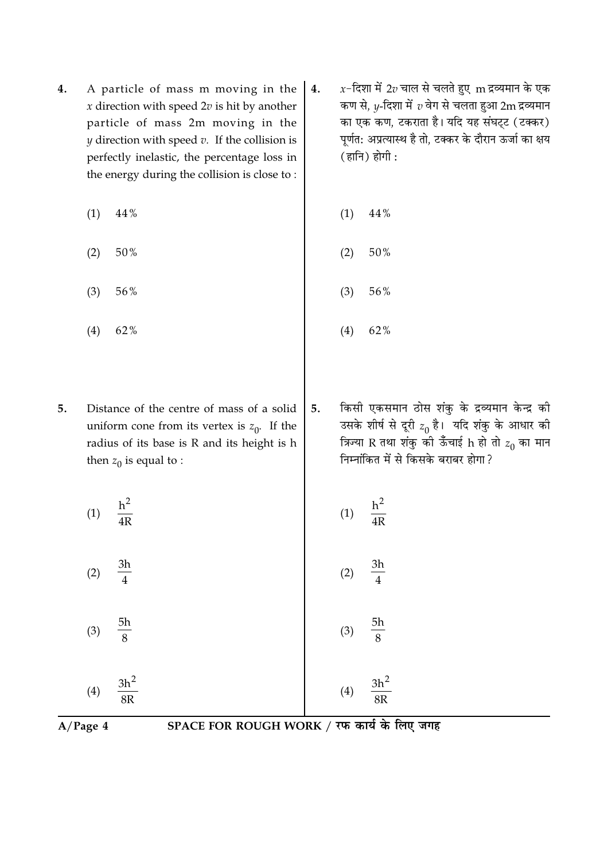- A particle of mass m moving in the 4. x direction with speed  $2v$  is hit by another particle of mass 2m moving in the  $y$  direction with speed  $v$ . If the collision is perfectly inelastic, the percentage loss in the energy during the collision is close to:
	- $(1)$ 44%
	- 50%  $(2)$
	- $(3)$ 56%
	- $(4)$ 62%
- Distance of the centre of mass of a solid 5. uniform cone from its vertex is  $z_0$ . If the radius of its base is R and its height is h then  $z_0$  is equal to :
	- $h<sup>2</sup>$  $(1)$  $\overline{4R}$

 $3h$ 

 $\overline{4}$ 

 $5h$  $(3)$  $\mathbf{8}$ 

 $(2)$ 

 $3h^2$  $(4)$ 

8<sub>R</sub>

- $x$ -दिशा में 2 $v$  चाल से चलते हुए  $m$  द्रव्यमान के एक  $\overline{4}$ . कण से,  $y$ -दिशा में  $v$  वेग से चलता हुआ 2 ${\bf m}$  द्रव्यमान का एक कण, टकराता है। यदि यह संघट्ट (टक्कर) पूर्णत: अप्रत्यास्थ है तो, टक्कर के दौरान ऊर्जा का क्षय  $( \overline{\mathsf{g}} \mathsf{l} \overline{\mathsf{h}} ) \overline{\mathsf{g}} \mathsf{l} \overline{\mathsf{f}}$ :
	- 44%  $(1)$
	- 50%  $(2)$
	- $(3)$ 56%
	- $(4)$ 62%
- किसी एकसमान ठोस शंकु के द्रव्यमान केन्द्र की 5. उसके शीर्ष से दूरी  $z_0$  है। यदि शंकु के आधार की त्रिज्या R तथा शंकु की ऊँचाई h हो तो  $z_0$  का मान निम्नांकित में से किसके बराबर होगा ?

$$
(1) \quad \frac{h^2}{4R}
$$
\n
$$
(2) \quad \frac{3h}{4}
$$

- 5h  $(3)$
- 
- $3h^2$

 $A/Page$  4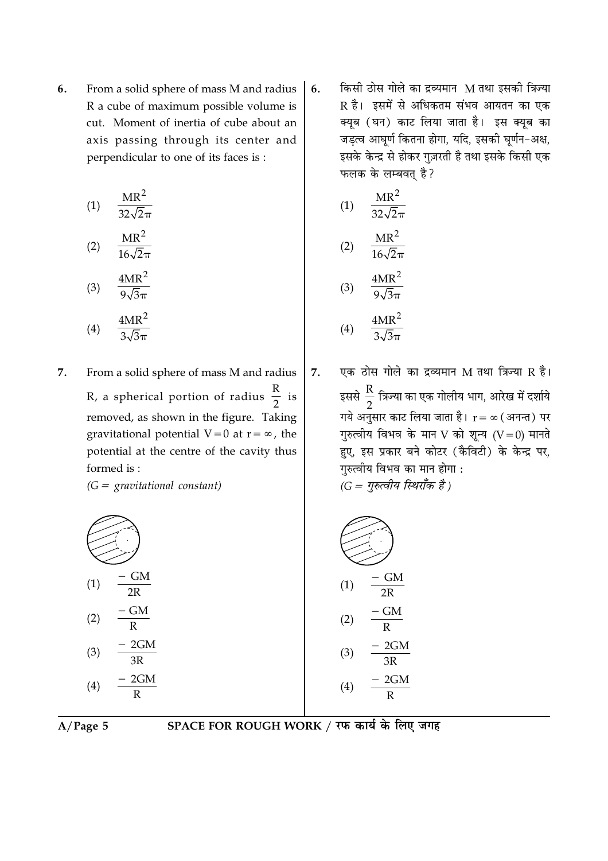From a solid sphere of mass M and radius 6. R a cube of maximum possible volume is cut. Moment of inertia of cube about an axis passing through its center and perpendicular to one of its faces is:

$$
(1) \quad \frac{\text{MR}^2}{32\sqrt{2}\pi}
$$

$$
(2) \quad \frac{\text{MIR}}{16\sqrt{2}\pi}
$$

$$
(3) \quad \frac{4MR^2}{9\sqrt{3}\pi}
$$

$$
4MR^2
$$

 $(4)$ 

7. From a solid sphere of mass M and radius R, a spherical portion of radius  $\frac{R}{2}$  is removed, as shown in the figure. Taking gravitational potential  $V=0$  at  $r=\infty$ , the

potential at the centre of the cavity thus formed is:

 $(G =$  gravitational constant)

$$
(1) \frac{-GM}{2R}
$$
\n
$$
(2) \frac{-GM}{R}
$$
\n
$$
(3) \frac{-2GM}{3R}
$$
\n
$$
(4) \frac{-2GM}{R}
$$

किसी ठोस गोले का द्रव्यमान M तथा इसकी त्रिज्या 6. R है। इसमें से अधिकतम संभव आयतन का एक क्यूब (घन) काट लिया जाता है। इस क्यूब का जडत्व आघूर्ण कितना होगा, यदि, इसकी घूर्णन-अक्ष, इसके केन्द्र से होकर गुज़रती है तथा इसके किसी एक फलक के लम्बवत है?

(1) 
$$
\frac{MR^2}{32\sqrt{2}\pi}
$$
  
(2) 
$$
\frac{MR^2}{16\sqrt{2}\pi}
$$
  

$$
4MR^2
$$

$$
(4) \quad \frac{4MR^2}{3\sqrt{3\pi}}
$$

 $(3)$ 

एक ठोस गोले का द्रव्यमान M तथा त्रिज्या R है। 7. इससे  $\frac{R}{2}$  त्रिज्या का एक गोलीय भाग, आरेख में दर्शाये गये अनुसार काट लिया जाता है।  $r = \infty$  (अनन्त) पर गुरुत्वीय विभव के मान V को शून्य  $(V=0)$  मानते हुए, इस प्रकार बने कोटर (कैविटी) के केन्द्र पर, गुरुत्वीय विभव का मान होगा :  $(G = \eta \bar{\kappa}$ त्वीय स्थिराँक है)

$$
(1) \frac{-GM}{2R}
$$
  
\n
$$
(2) \frac{-GM}{R}
$$
  
\n
$$
(3) \frac{-2GM}{3R}
$$
  
\n
$$
(4) \frac{-2GM}{R}
$$

$$
A/Page\ 5
$$

SPACE FOR ROUGH WORK / रफ कार्य के लिए जगह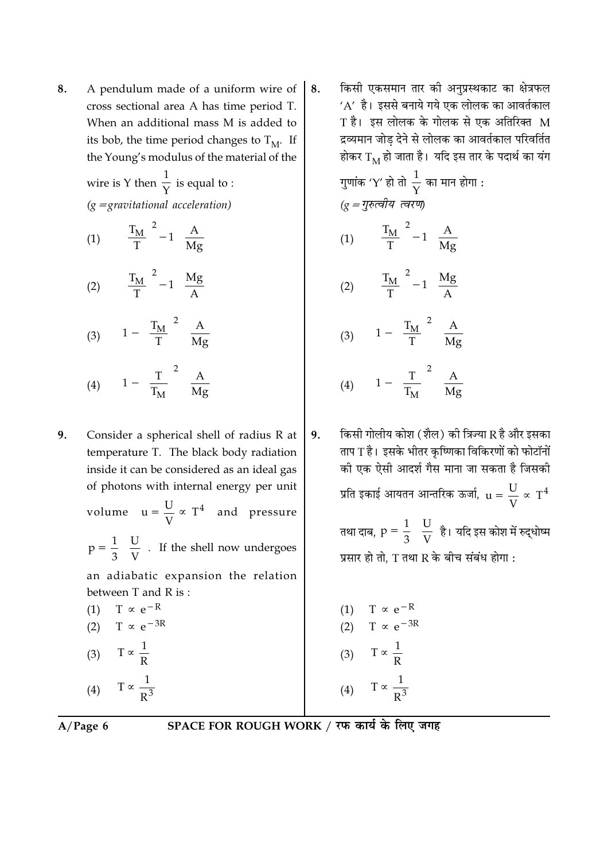A pendulum made of a uniform wire of 8. cross sectional area A has time period T. When an additional mass M is added to its bob, the time period changes to  $T_M$ . If the Young's modulus of the material of the

> wire is Y then  $\frac{1}{Y}$  is equal to :  $(g =$ gravitational acceleration) (1)  $\left| \left( \frac{T_M}{T} \right)^2 - 1 \right| \frac{A}{Mg}$

- (2)  $\left[\left(\frac{T_M}{T}\right)^2 1\right] \frac{Mg}{A}$
- (3)  $\left|1-\left(\frac{T_M}{T}\right)^2\right| \frac{A}{Mg}$ (4)  $\left|1-\left(\frac{T}{T_M}\right)^2\right| \frac{A}{Mg}$

9. Consider a spherical shell of radius R at temperature T. The black body radiation inside it can be considered as an ideal gas of photons with internal energy per unit

volume  $u = \frac{U}{V} \propto T^4$  and pressure

 $p = \frac{1}{3} \left( \frac{U}{V} \right)$ . If the shell now undergoes

an adiabatic expansion the relation between T and R is:

(1) 
$$
T \propto e^{-K}
$$
  
\n(2)  $T \propto e^{-3R}$   
\n(3)  $T \propto \frac{1}{R}$ 

$$
(4) \qquad 1 \propto \frac{1}{R^3}
$$

किसी एकसमान तार की अनुप्रस्थकाट का क्षेत्रफल 8.  $'A'$  है। इससे बनाये गये एक लोलक का आवर्तकाल T है। इस लोलक के गोलक से एक अतिरिक्त M द्रव्यमान जोड देने से लोलक का आवर्तकाल परिवर्तित होकर  $\rm T_M$  हो जाता है। यदि इस तार के पदार्थ का यंग

> गुणांक 'Y' हो तो  $\frac{1}{\sqrt{}}$  का मान होगा :  $(q = \eta \bar{\kappa}$ त्वीय त्वरण) (1)  $\left| \left( \frac{T_M}{T} \right)^2 - 1 \right| \frac{A}{Mg}$ (2)  $\left[\left(\frac{T_M}{T}\right)^2 - 1\right] \frac{Mg}{A}$ (3)  $\left|1-\left(\frac{T_M}{T}\right)^2\right| \frac{A}{Mg}$ (4)  $\left|1 - \left(\frac{T}{T_M}\right)^2\right| \frac{A}{Mg}$

किसी गोलीय कोश (शैल) की त्रिज्या R है और इसका 9. ताप T है। इसके भीतर कृष्णिका विकिरणों को फोटॉनों की एक ऐसी आदर्श गैस माना जा सकता है जिसकी प्रति इकाई आयतन आन्तरिक ऊर्जा,  $u = \frac{U}{V} \propto T^4$ तथा दाब,  $p = \frac{1}{3} \left( \frac{U}{V} \right)$ है। यदि इस कोश में रुद्धोष्म

प्रसार हो तो, T तथा R के बीच संबंध होगा :

(1)  $T \propto e^{-R}$ (2)  $T \propto e^{-3R}$ (3)  $T \propto \frac{1}{P}$ (4)  $T \propto \frac{1}{R^3}$ 

 $A/Page 6$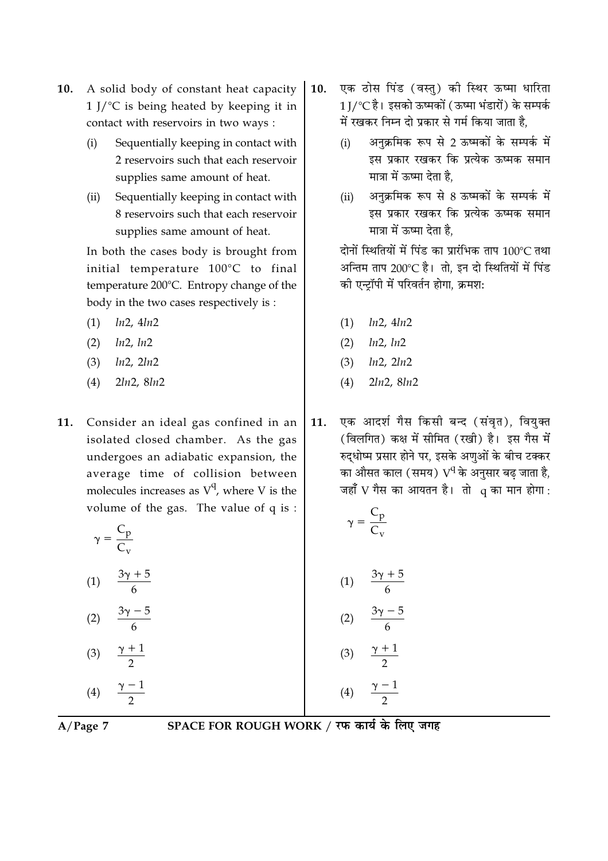- A solid body of constant heat capacity  $10.$  $1$  J/ $\degree$ C is being heated by keeping it in contact with reservoirs in two ways :
	- Sequentially keeping in contact with  $(i)$ 2 reservoirs such that each reservoir supplies same amount of heat.
	- Sequentially keeping in contact with  $(ii)$ 8 reservoirs such that each reservoir supplies same amount of heat.

In both the cases body is brought from initial temperature 100°C to final temperature 200°C. Entropy change of the body in the two cases respectively is :

- $ln2, 4ln2$  $(1)$
- $ln2, ln2$  $(2)$
- $(3)$  $ln2$ ,  $2ln2$
- $2ln2, 8ln2$  $(4)$
- 11. Consider an ideal gas confined in an isolated closed chamber. As the gas undergoes an adiabatic expansion, the average time of collision between molecules increases as  $V^q$ , where V is the volume of the gas. The value of q is :

|  | ٠ |
|--|---|

- $(1)$
- $(2)$
- $\frac{\gamma+1}{2}$  $(3)$  $\frac{\gamma-1}{2}$  $(4)$
- एक ठोस पिंड (वस्त) की स्थिर ऊष्मा धारिता  $10.$ 1∏′℃ है। इसको ऊष्मकों (ऊष्मा भंडारों) के सम्पर्क में रखकर निम्न दो प्रकार से गर्म किया जाता है.
	- अनक्रमिक रूप से 2 ऊष्मकों के सम्पर्क में  $(i)$ इस प्रकार रखकर कि प्रत्येक ऊष्मक समान मात्रा में ऊष्मा देता है.
	- अनक्रमिक रूप से 8 ऊष्मकों के सम्पर्क में  $(ii)$ इस प्रकार रखकर कि प्रत्येक ऊष्मक समान मात्रा में ऊष्मा देता है.

दोनों स्थितियों में पिंड का प्रारंभिक ताप 100℃ तथा अन्तिम ताप 200℃ है। तो. इन दो स्थितियों में पिंड की एन्ट्रॉपी में परिवर्तन होगा, क्रमश:

- $(1)$   $ln2, 4ln2$
- $(2)$   $ln2, ln2$
- $(3)$   $ln2, 2ln2$
- $2ln2, 8ln2$  $(4)$
- एक आदर्श गैस किसी बन्द (संवृत), वियुक्त 11. (विलगित) कक्ष में सीमित (रखी) है। इस गैस में रुद्धोष्म प्रसार होने पर, इसके अणुओं के बीच टक्कर का औसत काल (समय) V<sup>q</sup> के अनुसार बढ़ जाता है, जहाँ V गैस का आयतन है। तो 9 का मान होगा:

$$
\left(\gamma = \frac{C_p}{C_v}\right)
$$

(1) 
$$
\frac{3\gamma + 5}{6}
$$
  
(2) 
$$
\frac{3\gamma - 5}{6}
$$
  
(3) 
$$
\frac{\gamma + 1}{2}
$$

 $\frac{\gamma-1}{2}$ 

 $A/Page$  7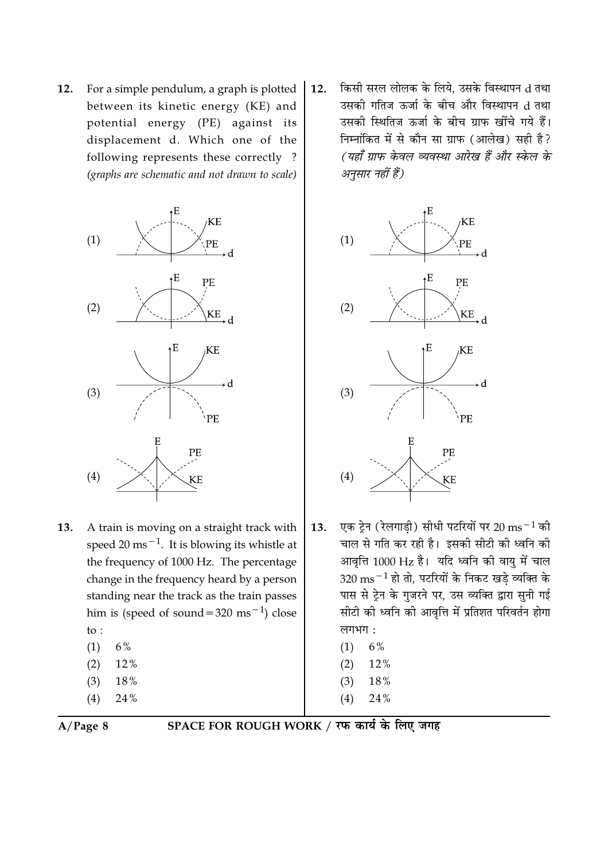For a simple pendulum, a graph is plotted 12. between its kinetic energy (KE) and potential energy (PE) against its displacement d. Which one of the following represents these correctly? (graphs are schematic and not drawn to scale)



- A train is moving on a straight track with 13. speed 20 ms<sup> $-1$ </sup>. It is blowing its whistle at the frequency of 1000 Hz. The percentage change in the frequency heard by a person standing near the track as the train passes him is (speed of sound =  $320 \text{ ms}^{-1}$ ) close to:  $(1)$  $6%$ 
	-
	- $(2)$ 12%  $(3)$ 18%
	-
	- $(4)$ 24%

किसी सरल लोलक के लिये. उसके विस्थापन d तथा 12. उसकी गतिज ऊर्जा के बीच और विस्थापन d तथा उसकी स्थितिज ऊर्जा के बीच ग्राफ खींचे गये हैं। निम्नांकित में से कौन सा ग्राफ (आलेख) सही है? (यहाँ ग्राफ केवल व्यवस्था आरेख हैं और स्केल के अनुसार नहीं हैं)



- एक टेन (रेलगाडी) सीधी पटरियों पर 20 ms $^{-1}$  की 13. चाल से गति कर रही है। इसकी सीटी की ध्वनि की आवृत्ति 1000 Hz है। यदि ध्वनि की वायु में चाल  $320 \text{ ms}^{-1}$  हो तो, पटरियों के निकट खडे व्यक्ति के पास से ट्रेन के गुजरने पर, उस व्यक्ति द्वारा सुनी गई सीटी की ध्वनि की आवृत्ति में प्रतिशत परिवर्तन होगा लगभग:
	- $(1)$ 6%
	- $(2)$ 12%
	- $(3)$ 18%
	- $(4)$ 24%

 $A/Page 8$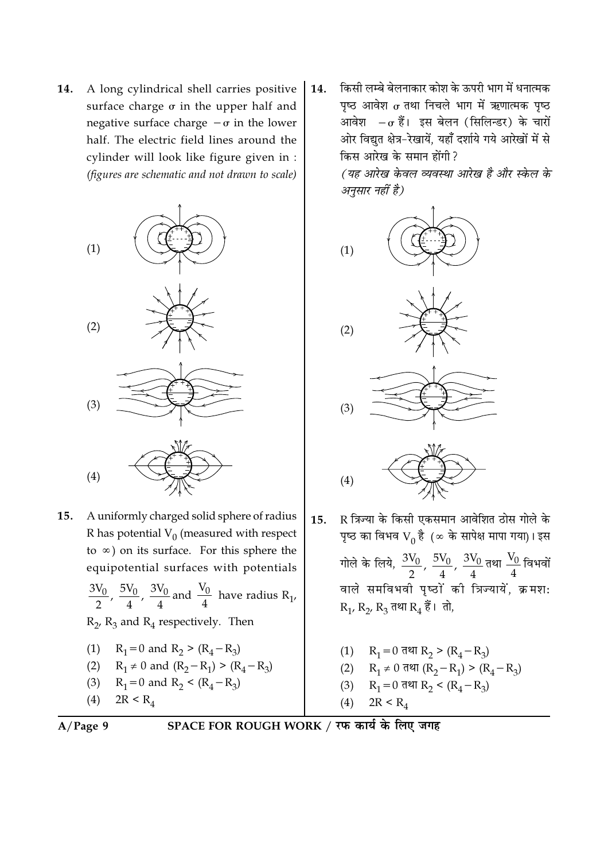A long cylindrical shell carries positive 14. surface charge  $\sigma$  in the upper half and negative surface charge  $-\sigma$  in the lower half. The electric field lines around the cylinder will look like figure given in : (figures are schematic and not drawn to scale)



- 15. A uniformly charged solid sphere of radius R has potential  $V_0$  (measured with respect to  $\infty$ ) on its surface. For this sphere the equipotential surfaces with potentials  $\frac{3V_0}{2}$ ,  $\frac{5V_0}{4}$ ,  $\frac{3V_0}{4}$  and  $\frac{V_0}{4}$  have radius R<sub>1</sub>,
	- $R_2$ ,  $R_3$  and  $R_4$  respectively. Then

(1) 
$$
R_1 = 0
$$
 and  $R_2 > (R_4 - R_3)$ 

(2) 
$$
R_1 \neq 0
$$
 and  $(R_2 - R_1) > (R_4 - R_3)$ 

- (3)  $R_1 = 0$  and  $R_2 < (R_4 R_3)$
- $2R < R_4$  $(4)$

14. किसी लम्बे बेलनाकार कोश के ऊपरी भाग में धनात्मक पृष्ठ आवेश 
$$
\sigma
$$
 तथा निचले भाग में ऋणात्मक पृष्ठ आवेश  $-\sigma$  हैं। इस बेलन (सिलिन्डर) के चारों और विद्युत क्षेत्र–रेखायें, यहाँ दर्शाये गये आरेखों में से किस आरेख के समान होंगी ? (यह आरेख केवल व्यवस्था आरेख है और स्केल के अनुसार नहों है)











- R त्रिज्या के किसी एकसमान आवेशित ठोस गोले के  $15.$ पृष्ठ का विभव  $V_0$  है  $( \infty$  के सापेक्ष मापा गया)। इस गोले के लिये,  $\frac{3V_0}{2}$ ,  $\frac{5V_0}{4}$ ,  $\frac{3V_0}{4}$ तथा  $\frac{V_0}{4}$ विभवों वाले समविभवी पृष्ठों की त्रिज्यायें, क्रमश:  $R_1$ ,  $R_2$ ,  $R_3$  तथा  $R_4$  हैं। तो,
	- (1)  $R_1 = 0$  तथा  $R_2 > (R_4 R_3)$
	- (2)  $R_1 \neq 0$  तथा  $(R_2 R_1) > (R_4 R_2)$
	- R<sub>1</sub> = 0 तथा R<sub>2</sub> < (R<sub>4</sub> R<sub>3</sub>)  $(3)$

 $(4)$  $2R < R_4$ 

$$
A/Page\ 9
$$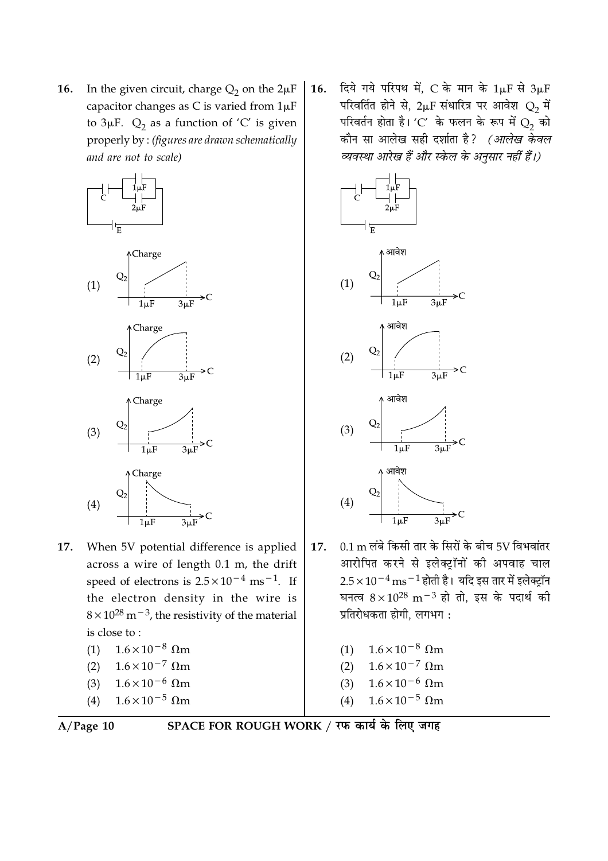In the given circuit, charge  $Q_2$  on the  $2\mu F$ 16. capacitor changes as C is varied from  $1\mu$ F to  $3\mu$ F.  $Q_2$  as a function of 'C' is given properly by: (figures are drawn schematically and are not to scale)



17. When 5V potential difference is applied across a wire of length 0.1 m, the drift speed of electrons is  $2.5 \times 10^{-4}$  ms<sup>-1</sup>. If the electron density in the wire is  $8 \times 10^{28}$  m<sup>-3</sup>, the resistivity of the material is close to:

(1) 
$$
1.6 \times 10^{-8}
$$
 \nOmegam  
\n(2)  $1.6 \times 10^{-7}$  \nOmegam  
\n(3)  $1.6 \times 10^{-6}$  \nOmegam

(4) 
$$
1.6 \times 10^{-5}
$$
  $\Omega$ m

$$
A/Page\ 10
$$

SPACE FOR ROUGH WORK / रफ कार्य के लिए जगह

दिये गये परिपथ में, C के मान के  $1\mu$ F से  $3\mu$ F 16. परिवर्तित होने से, 2µF संधारित्र पर आवेश  $Q_2$  में परिवर्तन होता है। 'C' के फलन के रूप में  $Q_2$  को कौन सा आलेख सही दर्शाता है*? (आलेख केवल* व्यवस्था आरेख हैं और स्केल के अनुसार नहीं हैं।)



 $0.1 \text{ m}$  लंबे किसी तार के सिरों के बीच 5V विभवांतर 17. आरोपित करने से इलेक्ट्रॉनों की अपवाह चाल  $2.5 \times 10^{-4}$  ms $^{-1}$  होती है। यदि इस तार में इलेक्ट्रॉन घनत्व  $8 \times 10^{28}$  m<sup>-3</sup> हो तो, इस के पदार्थ की प्रतिरोधकता होगी. लगभग:

| (1) | $1.6 \times 10^{-8}$ Ωm         |
|-----|---------------------------------|
| (2) | $1.6 \times 10^{-7}$ $\Omega$ m |
| (3) | $1.6 \times 10^{-6}$ Ωm         |
| (4) | $1.6 \times 10^{-5}$ Ωm         |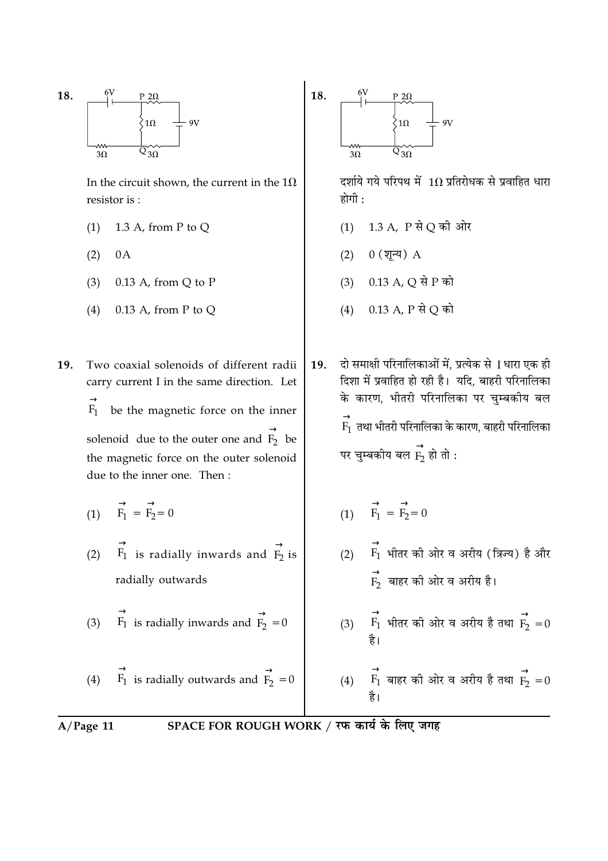

In the circuit shown, the current in the  $1\Omega$ resistor is:

- 1.3 A, from P to Q  $(1)$
- $(2)$  $0A$
- $0.13$  A, from Q to P  $(3)$
- $0.13$  A, from P to O  $(4)$

19. Two coaxial solenoids of different radii carry current I in the same direction. Let  $F_1$  be the magnetic force on the inner solenoid due to the outer one and  $\overrightarrow{F_2}$  be the magnetic force on the outer solenoid due to the inner one. Then:

- (1)  $\overrightarrow{F_1} = \overrightarrow{F_2} = 0$
- (2)  $\overrightarrow{F_1}$  is radially inwards and  $\overrightarrow{F_2}$  is radially outwards

(3) 
$$
\overrightarrow{F_1}
$$
 is radially inwards and  $\overrightarrow{F_2} = 0$ 

(4) 
$$
\overrightarrow{F_1}
$$
 is radially outwards and  $\overrightarrow{F_2} = 0$ 

दर्शाये गये परिपथ में  $1\Omega$  प्रतिरोधक से प्रवाहित धारा होगी $\cdot$ 

- (1) 1.3 A, P से Q की ओर
- $(2) 0 ($ शून्य) A
- (3) 0.13 A, Q से P को
- (4) 0.13 A, P से O को

दो समाक्षी परिनालिकाओं में, प्रत्येक से 1 धारा एक ही 19. दिशा में प्रवाहित हो रही है। यदि, बाहरी परिनालिका के कारण, भीतरी परिनालिका पर चुम्बकीय बल  $\stackrel{\rightarrow}{\mathrm{F_1}}$  तथा भीतरी परिनालिका के कारण, बाहरी परिनालिका पर चुम्बकीय बल  $\overrightarrow{\mathrm{F_{2}}}$  हो तो :

- (1)  $\overrightarrow{F_1} = \overrightarrow{F_2} = 0$
- (2)  $\overrightarrow{F_1}$  भीतर की ओर व अरीय (त्रिज्य) है और  $\overrightarrow{F_2}$  बाहर की ओर व अरीय है।

(3)  $\overrightarrow{F_1}$  भीतर की ओर व अरीय है तथा  $\overrightarrow{F_2} = 0$ 

(4) 
$$
\overrightarrow{F_1}
$$
 बाहर को ओर व अरीय है तथा  $\overrightarrow{F_2} = 0$  है।

 $A/Page$  11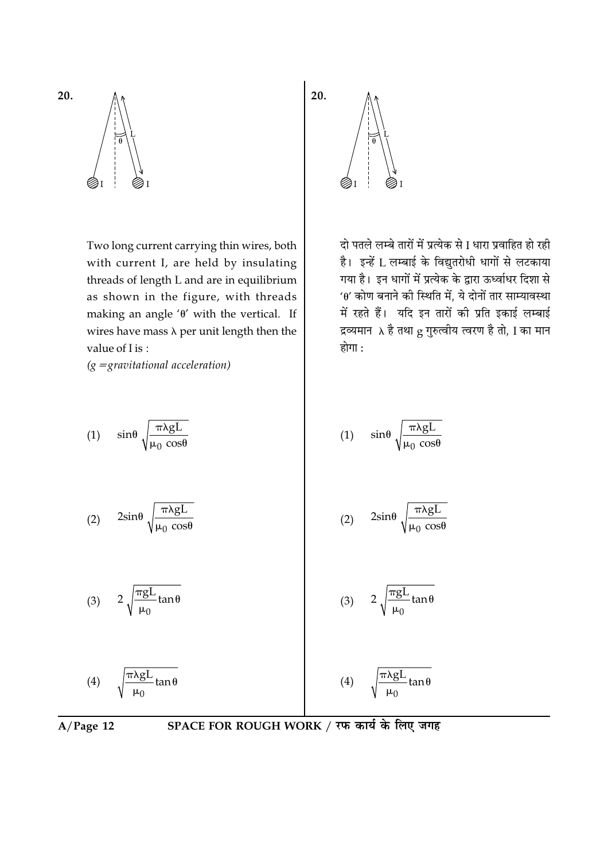

Two long current carrying thin wires, both with current I, are held by insulating threads of length L and are in equilibrium as shown in the figure, with threads making an angle ' $\theta$ ' with the vertic wires have mass  $\lambda$  per unit length then the value of I is:

 $(g = gravitational acceleration)$ 



 $A/Page$  12

20.

दो पतले लम्बे तारों में प्रत्येक से I धारा प्रवाहित हो रही है। इन्हें L लम्बाई के विद्युतरोधी धागों से लटकाया गया है। इन धागों में प्रत्येक के द्वारा ऊर्ध्वाधर दिशा से  $40'$  कोण बनाने की स्थिति में. ये दोनों तार साम्यावस्था में रहते हैं। यदि इन तारों की प्रति इकाई लम्बाई द्रव्यमान $\lambda$  है तथा  $g$  गुरुत्वीय त्वरण है तो, I का मान होगा :

$$
\begin{array}{c}\n\text{and} \\
\text{all} \quad \text{If}\n\end{array}
$$

20.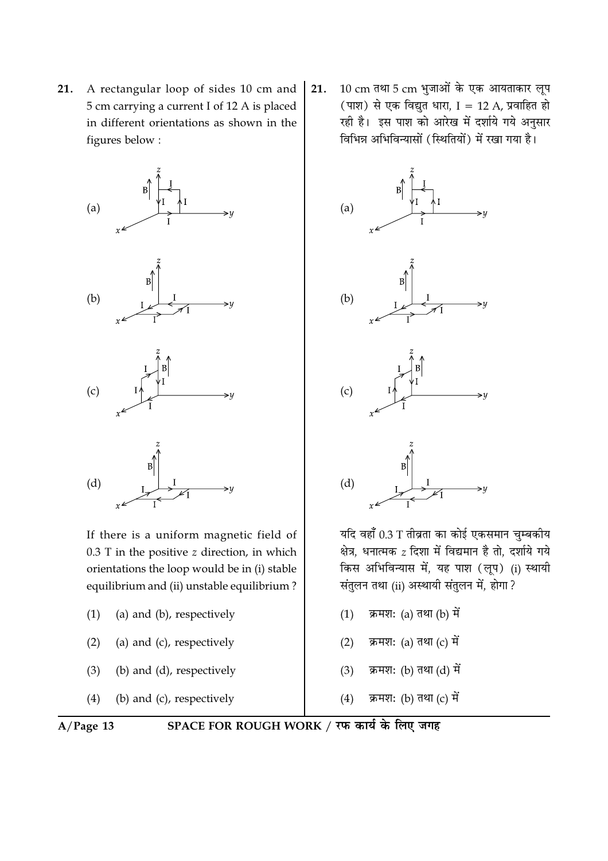A rectangular loop of sides 10 cm and 21. 5 cm carrying a current I of 12 A is placed in different orientations as shown in the figures below:



If there is a uniform magnetic field of  $0.3$  T in the positive  $z$  direction, in which orientations the loop would be in (i) stable equilibrium and (ii) unstable equilibrium?

- (a) and (b), respectively  $(1)$
- (a) and (c), respectively  $(2)$
- (b) and (d), respectively  $(3)$
- $(4)$ (b) and (c), respectively

10 cm तथा 5 cm भुजाओं के एक आयताकार लूप 21. (पाश) से एक विद्युत धारा, I = 12 A, प्रवाहित हो रही है। इस पाश को आरेख में दर्शाये गये अनुसार विभिन्न अभिविन्यासों (स्थितियों) में रखा गया है।



यदि वहाँ 0.3 T तीव्रता का कोई एकसमान चुम्बकीय क्षेत्र, धनात्मक z दिशा में विद्यमान है तो, दर्शाये गये किस अभिविन्यास में, यह पाश (लूप) (i) स्थायी संतुलन तथा (ii) अस्थायी संतुलन में, होगा ?

- क्रमश: (a) तथा (b) में  $(1)$
- क्रमश: (a) तथा (c) में  $(2)$
- क्रमश: (b) तथा (d) में  $(3)$
- $(4)$ क्रमश: (b) तथा (c) में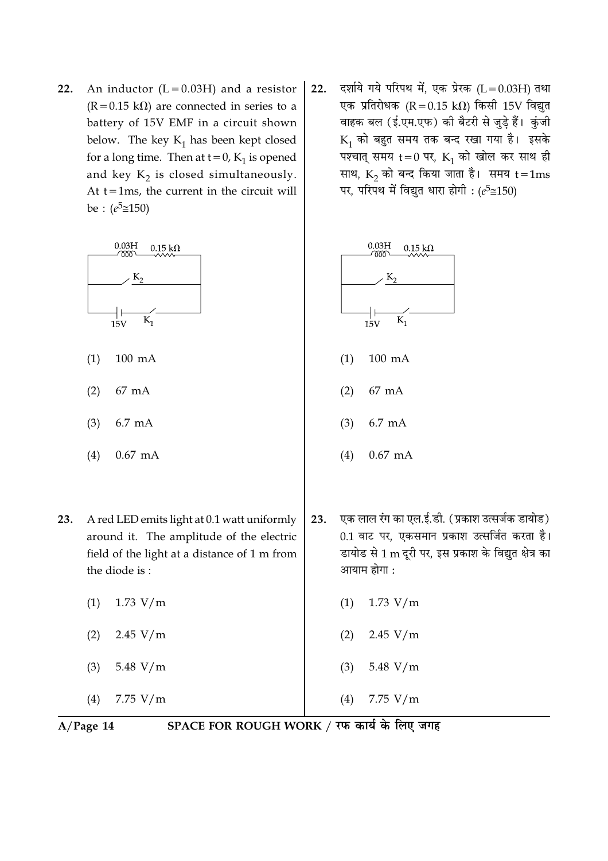22. An inductor  $(L = 0.03H)$  and a resistor  $(R = 0.15 \text{ k}\Omega)$  are connected in series to a battery of 15V EMF in a circuit shown below. The key  $K_1$  has been kept closed for a long time. Then at  $t = 0$ ,  $K_1$  is opened and key  $K_2$  is closed simultaneously. At  $t = 1$ ms, the current in the circuit will be :  $(e^5 \cong 150)$ 



- $(1)$  $100 \text{ mA}$
- $(2)$ 67 mA
- 6.7 mA  $(3)$
- $(4)$  $0.67$  mA
- A red LED emits light at 0.1 watt uniformly 23. around it. The amplitude of the electric field of the light at a distance of 1 m from the diode is:
	- $(1)$  $1.73 V/m$
	- $2.45 V/m$  $(2)$
	- $(3)$ 5.48  $V/m$
	- 7.75  $V/m$  $(4)$

दर्शाये गये परिपथ में, एक प्रेरक (L = 0.03H) तथा  $22.$ एक प्रतिरोधक (R = 0.15 k $\Omega$ ) किसी 15V विद्युत वाहक बल (ई.एम.एफ) की बैटरी से जुड़े हैं। कुंजी  $K_1$  को बहुत समय तक बन्द रखा गया है। इसके पश्चात् समय t = 0 पर,  $K_1$  को खोल कर साथ ही साथ,  $K_2$  को बन्द किया जाता है। समय  $t = 1ms$ पर, परिपथ में विद्युत धारा होगी: ( $e^5 \approx 150$ )



- एक लाल रंग का एल.ई.डी. (प्रकाश उत्सर्जक डायोड) 23. 0.1 वाट पर, एकसमान प्रकाश उत्सर्जित करता है। डायोड से 1 m दूरी पर, इस प्रकाश के विद्युत क्षेत्र का आयाम होगा :
	- $(1)$  $1.73 V/m$
	- $2.45 V/m$  $(2)$
	- $(3)$ 5.48  $V/m$
- $7.75 V/m$  $(4)$

 $A/Page$  14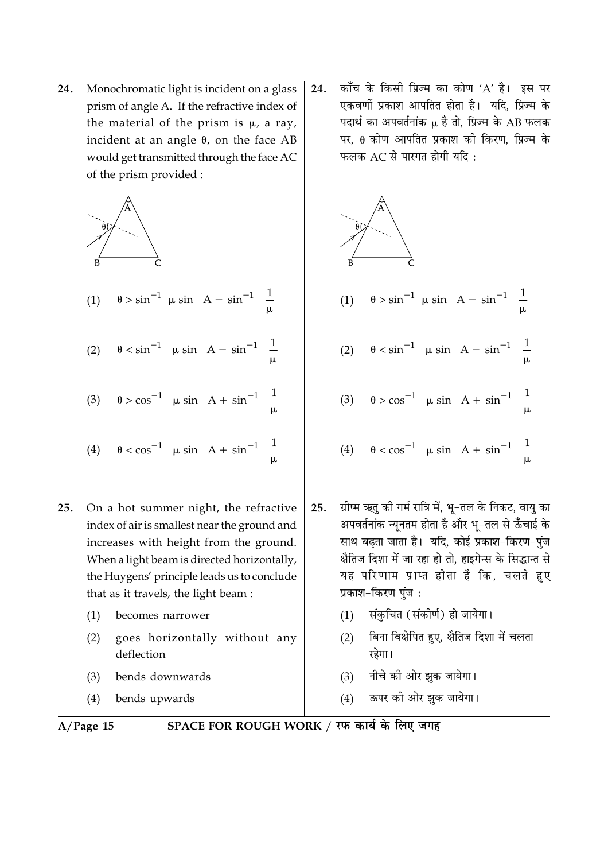Monochromatic light is incident on a glass 24. prism of angle A. If the refractive index of the material of the prism is  $\mu$ , a ray, incident at an angle  $\theta$ , on the face AB would get transmitted through the face AC of the prism provided :



(1) 
$$
\theta > \sin^{-1} \left[ \mu \sin \left( A - \sin^{-1} \left( \frac{1}{\mu} \right) \right] \right]
$$

(2)  $\theta < \sin^{-1} \left[ \mu \sin \left( A - \sin^{-1} \left( \frac{1}{\mu} \right) \right) \right]$ 

(3) 
$$
\theta > \cos^{-1} \left[ \mu \sin \left( A + \sin^{-1} \left( \frac{1}{\mu} \right) \right] \right]
$$
  
(4)  $\theta < \cos^{-1} \left[ \mu \sin \left( A + \sin^{-1} \left( \frac{1}{\mu} \right) \right] \right]$ 

- 25. On a hot summer night, the refractive index of air is smallest near the ground and increases with height from the ground. When a light beam is directed horizontally, the Huygens' principle leads us to conclude that as it travels, the light beam :
	- $(1)$ becomes narrower
	- goes horizontally without any  $(2)$ deflection
	- bends downwards  $(3)$
	- $(4)$ bends upwards

$$
A/Page 15
$$

SPACE FOR ROUGH WORK / रफ कार्य के लिए जगह

काँच के किसी प्रिज्म का कोण 'A' है। इस पर 24. एकवर्णी प्रकाश आपतित होता है। यदि, प्रिज्म के पदार्थ का अपवर्तनांक μ है तो. प्रिज्म के AB फलक पर,  $\theta$  कोण आपतित प्रकाश की किरण, प्रिज्म के फलक AC से पारगत होगी यदि:



- ग्रीष्म ऋतु की गर्म रात्रि में, भू-तल के निकट, वायु का 25. अपवर्तनांक न्युनतम होता है और भू-तल से ऊँचाई के साथ बढता जाता है। यदि, कोई प्रकाश-किरण-पुंज क्षैतिज दिशा में जा रहा हो तो. हाइगेन्स के सिद्धान्त से यह परिणाम प्राप्त होता है कि, चलते हुए प्रकाश-किरण पुंज:
	- संकुचित (संकीर्ण) हो जायेगा।  $(1)$
	- बिना विक्षेपित हुए, क्षैतिज दिशा में चलता  $(2)$ रहेगा।
	- $(3)$ नीचे की ओर झुक जायेगा।
	- ऊपर की ओर झुक जायेगा।  $(4)$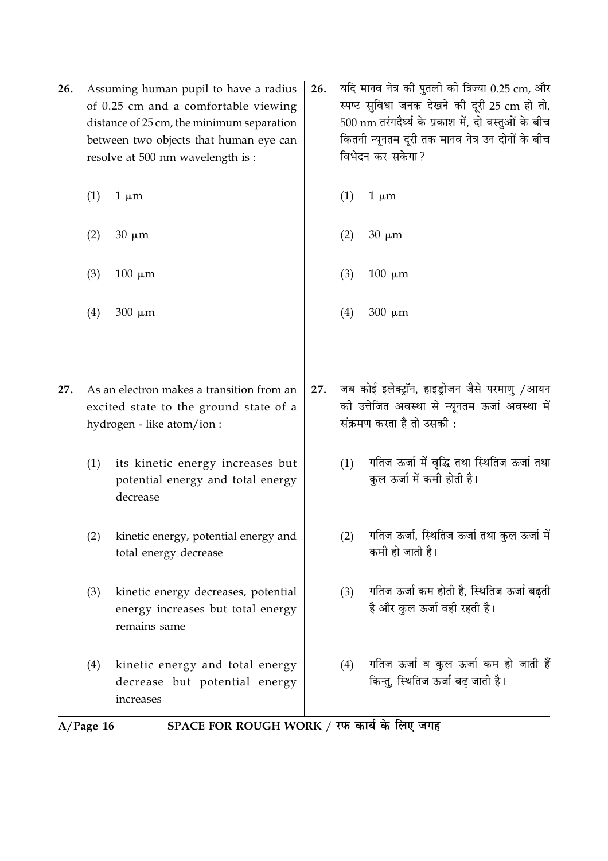- 26. Assuming human pupil to have a radius of 0.25 cm and a comfortable viewing distance of 25 cm, the minimum separation between two objects that human eye can resolve at 500 nm wavelength is :
	- $(1)$  $1 \mu m$
	- $(2)$  $30 \mu m$
	- $(3)$  $100 \mu m$
	- $(4)$ 300 um
- As an electron makes a transition from an  $27.$ excited state to the ground state of a hydrogen - like atom/ion :
	- its kinetic energy increases but  $(1)$ potential energy and total energy decrease
	- $(2)$ kinetic energy, potential energy and total energy decrease
	- kinetic energy decreases, potential  $(3)$ energy increases but total energy remains same
	- kinetic energy and total energy  $(4)$ decrease but potential energy increases
- यदि मानव नेत्र की पुतली की त्रिज्या 0.25 cm, और 26. स्पष्ट सुविधा जनक देखने की दूरी 25 cm हो तो, 500 nm तरंगदैर्घ्य के प्रकाश में. दो वस्तओं के बीच कितनी न्यूनतम दुरी तक मानव नेत्र उन दोनों के बीच विभेदन कर सकेगा?
	- $(1)$  $1 \mu m$
	- $(2)$  $30 \mu m$
	- $(3)$  $100 \mu m$
	- $(4)$ 300 um
- जब कोई इलेक्ट्रॉन, हाइड्रोजन जैसे परमाणु /आयन  $27.$ की उत्तेजित अवस्था से न्यूनतम ऊर्जा अवस्था में संक्रमण करता है तो उसकी :
	- गतिज ऊर्जा में वृद्धि तथा स्थितिज ऊर्जा तथा  $(1)$ कुल ऊर्जा में कमी होती है।
	- गतिज ऊर्जा, स्थितिज ऊर्जा तथा कुल ऊर्जा में  $(2)$ कमी हो जाती है।
	- गतिज ऊर्जा कम होती है, स्थितिज ऊर्जा बढ़ती  $(3)$ है और कुल ऊर्जा वही रहती है।
	- गतिज ऊर्जा व कुल ऊर्जा कम हो जाती हैं  $(4)$ किन्तु, स्थितिज ऊर्जा बढ़ जाती है।
- SPACE FOR ROUGH WORK / रफ कार्य के लिए जगह  $A/Page$  16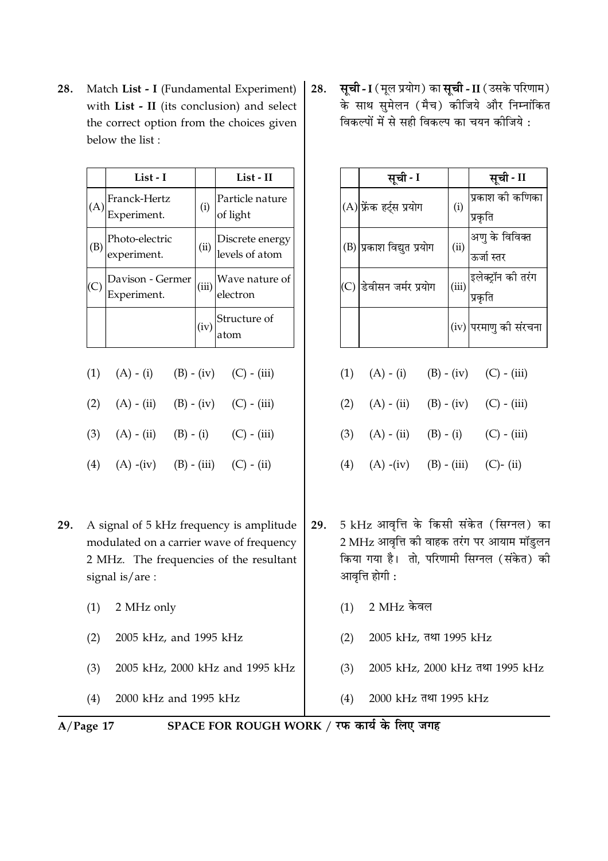Match List - I (Fundamental Experiment) 28. with List - II (its conclusion) and select the correct option from the choices given below the list:

| List - I                        |       | List - II                                    |
|---------------------------------|-------|----------------------------------------------|
| Franck-Hertz<br>Experiment.     | (i)   | Particle nature<br>of light                  |
| Photo-electric<br>experiment.   | (ii)  | Discrete energy<br>levels of atom            |
| Davison - Germer<br>Experiment. | (iii) | Wave nature of<br>electron                   |
|                                 |       | $\vert_{\rm (iv)}\vert$ Structure of<br>atom |

- $(1)$  $(A) - (i)$  $(B) - (iv)$  $(C) - (iii)$  $(2)$  $(A) - (ii)$  $(B) - (iv)$  $(C) - (iii)$
- $(3)$  $(A) - (ii)$  $(B) - (i)$  $(C) - (iii)$
- $(4)$  $(A)$  -(iv)  $(B) - (iii)$  $(C) - (ii)$
- 29. A signal of 5 kHz frequency is amplitude modulated on a carrier wave of frequency 2 MHz. The frequencies of the resultant signal is/are:
	- $(1)$ 2 MHz only
	- 2005 kHz, and 1995 kHz  $(2)$
	- 2005 kHz, 2000 kHz and 1995 kHz  $(3)$
	- $(4)$ 2000 kHz and 1995 kHz

सूची - I (मूल प्रयोग) का सूची - II (उसके परिणाम) 28. के साथ सुमेलन (मैच) कोजिये और निम्नांकित विकल्पों में से सही विकल्प का चयन कीजिये :

|     | सूची - I                  |       | सूची - II                                    |
|-----|---------------------------|-------|----------------------------------------------|
|     | (A) फ्रेंक हर्ट्स प्रयोग  | (i)   | प्रकाश की कणिका<br>प्रकृति                   |
|     | (B) प्रकाश विद्युत प्रयोग | (ii)  | अणु के विविक्त<br>ऊर्जा स्तर                 |
| (C) | डेवीसन जर्मर प्रयोग       | (iii) | इलेक्ट्रॉन की तर <mark>ं</mark> ग<br>प्रकृति |
|     |                           |       | (iv) परमाणु की संरचना                        |

|  | (1) $(A) - (i)$ $(B) - (iv)$ $(C) - (iii)$  |  |
|--|---------------------------------------------|--|
|  | (2) $(A) - (ii)$ $(B) - (iv)$ $(C) - (iii)$ |  |
|  | (3) $(A) - (ii)$ $(B) - (i)$ $(C) - (iii)$  |  |
|  | (4) $(A)$ -(iv) $(B)$ - (iii) $(C)$ - (ii)  |  |

- 5 kHz आवृत्ति के किसी संकेत (सिग्नल) का 29. 2 MHz आवृत्ति की वाहक तरंग पर आयाम मॉड्लन किया गया है। तो, परिणामी सिग्नल (संकेत) की आवृत्ति होगी :
	- 2 MHz केवल  $(1)$
	- 2005 kHz, तथा 1995 kHz  $(2)$
	- 2005 kHz, 2000 kHz तथा 1995 kHz  $(3)$
	- $(4)$ 2000 kHz तथा 1995 kHz

 $A/Page 17$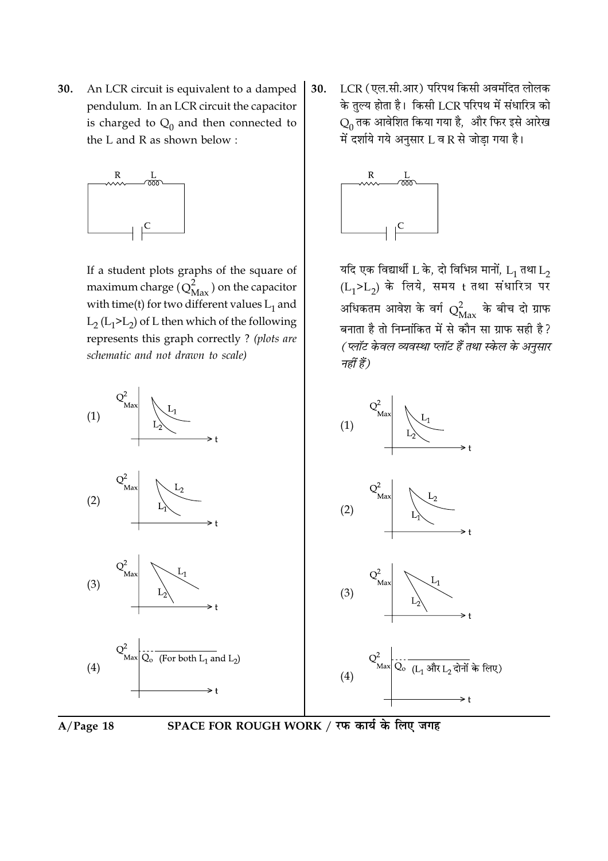30. An LCR circuit is equivalent to a damped pendulum. In an LCR circuit the capacitor is charged to  $Q_0$  and then connected to the L and R as shown below:



If a student plots graphs of the square of maximum charge  $(Q_{\text{Max}}^2)$  on the capacitor with time(t) for two different values  $L_1$  and  $L_2$  ( $L_1$ >L<sub>2</sub>) of L then which of the following represents this graph correctly ? (plots are schematic and not drawn to scale)

 $(1)$  $(1)$  $(2)$  $(2)$  $(3)$  $(3)$  $\sum_{\text{Max}}$   $\sum_{\text{C}}$  (For both  $L_1$  and  $L_2$ )  $Q^2$ <sub>Max</sub> C<sub>o (L<sub>1</sub> और L<sub>2</sub> दोनों के लिए)<br></sub>  $(4)$  $(4)$ 



LCR (एल.सी.आर) परिपथ किसी अवमंदित लोलक 30. के तुल्य होता है। किसी LCR परिपथ में संधारित्र को  $Q_0$  तक आवेशित किया गया है, और फिर इसे आरेख में दर्शाये गये अनुसार L व R से जोड़ा गया है।



यदि एक विद्यार्थी L के, दो विभिन्न मानों,  $\overline{L}_1$  तथा  $\overline{L}_2$  $(L_1 > L_2)$  के लिये, समय t तथा संधारित्र पर अधिकतम आवेश के वर्ग  $Q^2_{\rm{Max}}$  के बीच दो ग्राफ बनाता है तो निम्नांकित में से कौन सा ग्राफ सही है? (प्लॉट केवल व्यवस्था प्लॉट हैं तथा स्केल के अनुसार नहीं हैं)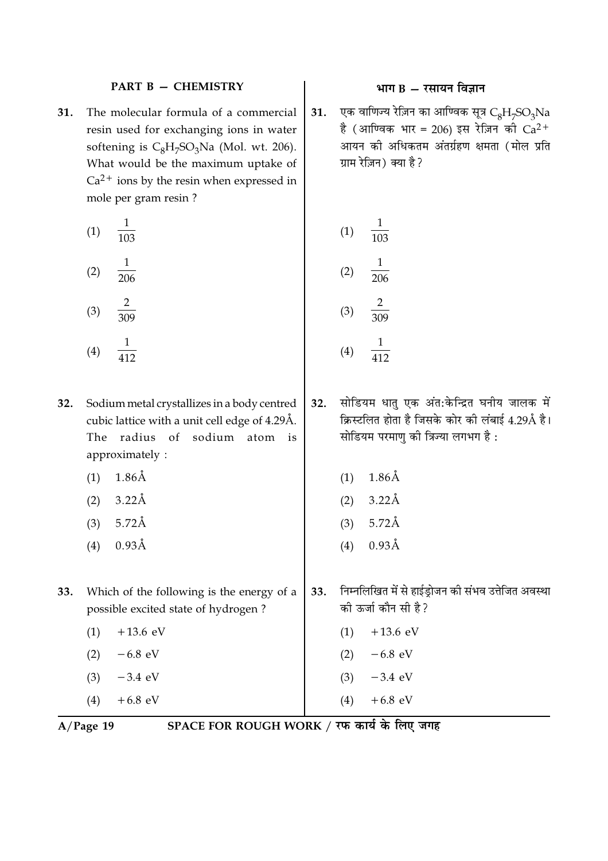### **PART B - CHEMISTRY**

 $31.$ The molecular formula of a commercial resin used for exchanging ions in water softening is  $C_8H_7SO_3Na$  (Mol. wt. 206). What would be the maximum uptake of  $Ca<sup>2+</sup>$  ions by the resin when expressed in mole per gram resin ?

(1) 
$$
\frac{1}{103}
$$
  
\n(2)  $\frac{1}{206}$   
\n(3)  $\frac{2}{309}$   
\n(4)  $\frac{1}{412}$   
\n(5)  $\frac{2}{309}$   
\n(6)  $\frac{1}{30}$   
\n(7)  $\frac{1}{10}$   
\n(8)  $\frac{2}{30}$   
\n(9)  $\frac{1}{41}$   
\n(1)  $\frac{1}{10}$   
\n(2)  $\frac{1}{20}$   
\n(3)  $\frac{2}{30}$   
\n(4)  $\frac{1}{41}$ 

- Sodium metal crystallizes in a body centred 32. cubic lattice with a unit cell edge of 4.29Å. The radius of sodium atom is approximately:
	- $1.86\text{\AA}$  $(1)$

412

- $3.22\text{\AA}$  $(2)$
- $5.72\text{\AA}$  $(3)$
- $0.93\text{\AA}$  $(4)$
- 33. Which of the following is the energy of a possible excited state of hydrogen?
	- $(1)$  $+13.6$  eV  $-6.8$  eV  $(2)$  $-3.4$  eV  $(3)$
	- $+6.8$  eV  $(4)$

SPACE FOR ROUGH WORK / रफ कार्य के लिए जगह

# भाग  $B - \bar{x}$ सायन विज्ञान

एक वाणिज्य रेज़िन का आण्विक सूत्र  $C_8H_7SO_3Na$  $31.$ है (आण्विक भार = 206) इस रेज़िन की  $Ca^{2+}$ आयन की अधिकतम अंतर्ग्रहण क्षमता (मोल प्रति ग्राम रेज़िन) क्या है?

(1) 
$$
\frac{1}{103}
$$
  
(2)  $\frac{1}{206}$   
(3)  $\frac{2}{309}$ 

 $412$ 

- सोडियम धातु एक अंत:केन्द्रित घनीय जालक में  $32.$ क्रिस्टलित होता है जिसके कोर की लंबाई 4.29Å है। सोडियम परमाणु की त्रिज्या लगभग है:
	- $1.86\text{\AA}$  $(1)$ 
		- $(2)$  3.22Å
		- $5.72\text{\AA}$  $(3)$
		- $0.93\text{\AA}$  $(4)$
- निम्नलिखित में से हाईड्रोजन की संभव उत्तेजित अवस्था 33. की ऊर्जा कौन सी है?
	- $+13.6$  eV  $(1)$
	- $-6.8$  eV  $(2)$

 $+6.8$  eV

- $-3.4$  eV  $(3)$
- $(4)$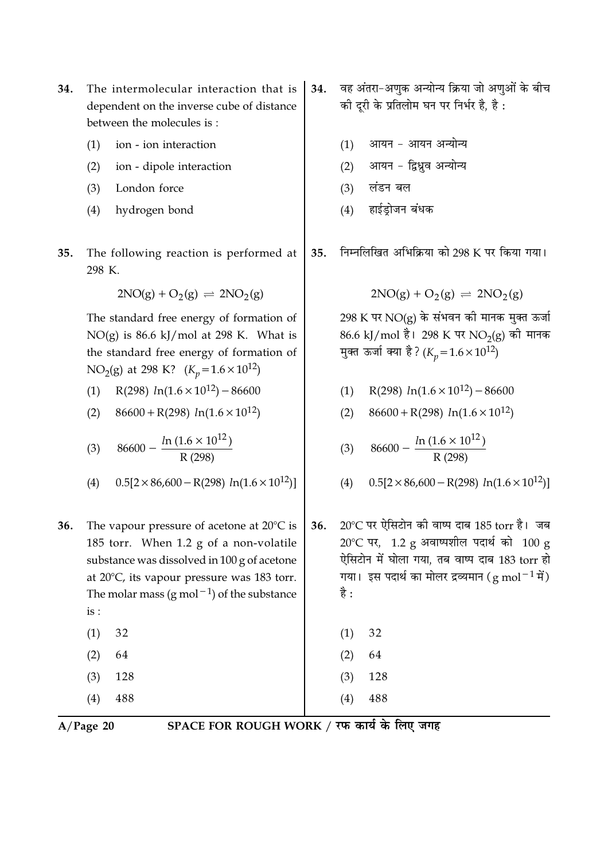- The intermolecular interaction that is 34. dependent on the inverse cube of distance between the molecules is:
	- ion ion interaction  $(1)$
	- $(2)$ ion - dipole interaction
	- $(3)$ London force
	- hydrogen bond  $(4)$
- 35. The following reaction is performed at 298 K.

$$
2NO(g) + O_2(g) \rightleftharpoons 2NO_2(g)
$$

The standard free energy of formation of  $NO(g)$  is 86.6 kJ/mol at 298 K. What is the standard free energy of formation of NO<sub>2</sub>(g) at 298 K?  $(K_p = 1.6 \times 10^{12})$ 

- R(298)  $ln(1.6 \times 10^{12}) 86600$  $(1)$
- $86600 + R(298) ln(1.6 \times 10^{12})$  $(2)$

(3) 
$$
86600 - \frac{\ln(1.6 \times 10^{12})}{R(298)}
$$

- $0.5[2 \times 86,600 R(298) \ln(1.6 \times 10^{12})]$  $(4)$
- The vapour pressure of acetone at 20°C is 36. 185 torr. When 1.2 g of a non-volatile substance was dissolved in 100 g of acetone at  $20^{\circ}$ C, its vapour pressure was 183 torr. The molar mass (g mol<sup>-1</sup>) of the substance  $is:$ 
	- $(1)$ 32 64  $(2)$  $(3)$ 128  $(4)$ 488

 $A/Page$  20

SPACE FOR ROUGH WORK / रफ कार्य के लिए जगह

 $(1)$ 

 $(2)$ 

 $(3)$ 

 $(4)$ 

32

64

128

488

- वह अंतरा-अणुक अन्योन्य क्रिया जो अणुओं के बीच 34. की दूरी के प्रतिलोम घन पर निर्भर है, है:
	- आयन आयन अन्योन्य  $(1)$
	- आयन द्विध्रव अन्योन्य  $(2)$
	- लंडन बल  $(3)$
	- हाईडोजन बंधक  $(4)$
- निम्नलिखित अभिक्रिया को 298 K पर किया गया। 35.

$$
2NO(g) + O_2(g) \rightleftharpoons 2NO_2(g)
$$

298 K पर NO(g) के संभवन की मानक मुक्त ऊर्जा 86.6 kJ/mol है। 298 K पर NO<sub>2</sub>(g) की मानक मुक्त ऊर्जा क्या है? ( $K_n = 1.6 \times 10^{12}$ )

- R(298)  $ln(1.6 \times 10^{12}) 86600$  $(1)$
- $86600 + R(298) ln(1.6 \times 10^{12})$  $(2)$

(3) 86600 - 
$$
\frac{\ln(1.6 \times 10^{12})}{R (298)}
$$

 $0.5[2 \times 86,600 - R(298) \ln(1.6 \times 10^{12})]$  $(4)$ 

20℃ पर ऐसिटोन की वाष्प दाब 185 torr है। जब 36.  $20^{\circ}$ C पर, 1.2 g अवाष्पशील पदार्थ को 100 g ऐसिटोन में घोला गया, तब वाष्प दाब 183 torr हो गया। इस पदार्थ का मोलर द्रव्यमान (g mol $^{-1}$ में) है :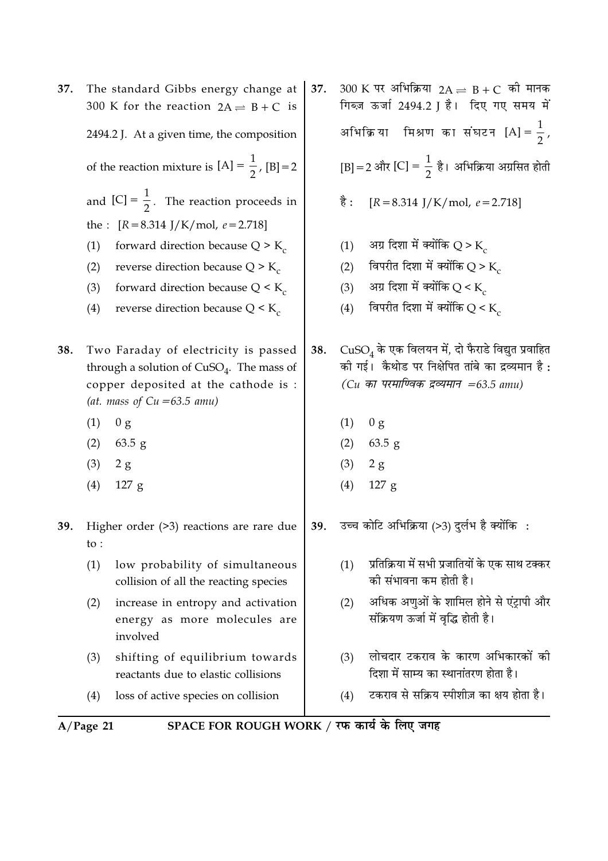|     | $A/Page$ 21     | SPACE FOR ROUGH WORK / रफ कार्य के लिए जगह                                                                                                                   |     |                                                                                                                |                                                                                                                                                                     |  |  |  |
|-----|-----------------|--------------------------------------------------------------------------------------------------------------------------------------------------------------|-----|----------------------------------------------------------------------------------------------------------------|---------------------------------------------------------------------------------------------------------------------------------------------------------------------|--|--|--|
|     | (4)             | loss of active species on collision                                                                                                                          |     | (4)                                                                                                            | टकराव से सक्रिय स्पीशीज़ का क्षय होता है।                                                                                                                           |  |  |  |
|     | (3)             | shifting of equilibrium towards<br>reactants due to elastic collisions                                                                                       |     | (3)                                                                                                            | लोचदार टकराव के कारण अभिकारकों की<br>दिशा में साम्य का स्थानांतरण होता है।                                                                                          |  |  |  |
|     | (2)             | increase in entropy and activation<br>energy as more molecules are<br>involved                                                                               |     | (2)                                                                                                            | अधिक अणुओं के शामिल होने से एंट्रापी और<br>संक्रियण ऊर्जा में वृद्धि होती है।                                                                                       |  |  |  |
|     | (1)             | low probability of simultaneous<br>collision of all the reacting species                                                                                     |     | (1)                                                                                                            | प्रतिक्रिया में सभी प्रजातियों के एक साथ टक्कर<br>की संभावना कम होती है।                                                                                            |  |  |  |
| 39. | $\mathsf{to}$ : | Higher order $(>3)$ reactions are rare due                                                                                                                   | 39. |                                                                                                                | उच्च कोटि अभिक्रिया (>3) दुर्लभ है क्योंकि:                                                                                                                         |  |  |  |
|     | (4)             | $127$ g                                                                                                                                                      |     | (4)                                                                                                            | 127 g                                                                                                                                                               |  |  |  |
|     | (3)             | 2 g                                                                                                                                                          |     | (3)                                                                                                            | 2 g                                                                                                                                                                 |  |  |  |
|     | (2)             | $63.5$ g                                                                                                                                                     |     | (2)                                                                                                            | $63.5$ g                                                                                                                                                            |  |  |  |
|     | (1)             | 0 g                                                                                                                                                          |     | (1)                                                                                                            | 0 <sub>g</sub>                                                                                                                                                      |  |  |  |
| 38. |                 | Two Faraday of electricity is passed<br>through a solution of $CuSO4$ . The mass of<br>copper deposited at the cathode is :<br>(at. mass of $Cu = 63.5$ amu) | 38. |                                                                                                                | $CuSO4$ के एक विलयन में, दो फैराडे विद्युत प्रवाहित<br>की गई। कैथोड पर निक्षेपित तांबे का द्रव्यमान है :<br>$(Cu \nleftrightarrow T$ परमाण्विक द्रव्यमान =63.5 amu) |  |  |  |
|     | (4)             | reverse direction because $Q \leq K_c$                                                                                                                       |     | (4)                                                                                                            | विपरीत दिशा में क्योंकि Q < K                                                                                                                                       |  |  |  |
|     | (3)             | forward direction because $Q \leq K_c$                                                                                                                       |     | (3)                                                                                                            | अग्र दिशा में क्योंकि Q < K                                                                                                                                         |  |  |  |
|     | (2)             | reverse direction because $Q > K_c$                                                                                                                          |     | (2)                                                                                                            | विपरीत दिशा में क्योंकि Q > K                                                                                                                                       |  |  |  |
|     | (1)             | forward direction because $Q > K_c$                                                                                                                          |     | (1)                                                                                                            | अग्र दिशा में क्योंकि Q > K                                                                                                                                         |  |  |  |
|     |                 | the : $[R = 8.314 \text{ J/K/mol}, e = 2.718]$                                                                                                               |     |                                                                                                                |                                                                                                                                                                     |  |  |  |
|     |                 | and $[C] = \frac{1}{2}$ . The reaction proceeds in                                                                                                           |     | है :                                                                                                           | $[R = 8.314$ J/K/mol, $e = 2.718$                                                                                                                                   |  |  |  |
|     |                 | of the reaction mixture is $[A] = \frac{1}{2}$ , $[B] = 2$                                                                                                   |     |                                                                                                                | [B] = 2 और [C] = $\frac{1}{2}$ है। अभिक्रिया अग्रसित होती                                                                                                           |  |  |  |
|     |                 | 2494.2 J. At a given time, the composition                                                                                                                   |     |                                                                                                                | अभिक्रिया मिश्रण का संघटन [A] = $\frac{1}{2}$ ,                                                                                                                     |  |  |  |
| 37. |                 | The standard Gibbs energy change at<br>300 K for the reaction $2A \rightleftharpoons B + C$ is                                                               | 37. | $300 \text{ K}$ पर अभिक्रिया 2A $\rightleftharpoons$ B + C की मानक<br>गिब्ज़ ऊर्जा 2494.2 ] है। दिए गए समय में |                                                                                                                                                                     |  |  |  |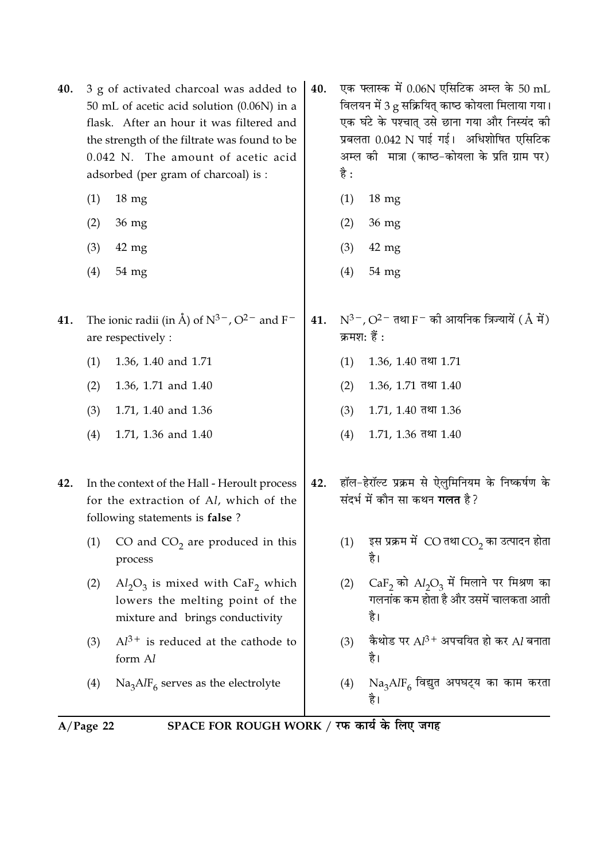| 40. | 3 g of activated charcoal was added to<br>50 mL of acetic acid solution (0.06N) in a<br>flask. After an hour it was filtered and<br>the strength of the filtrate was found to be<br>0.042 N. The amount of acetic acid<br>adsorbed (per gram of charcoal) is : |                                                                                                                          |     | है : | एक फ्लास्क में 0.06N एसिटिक अम्ल के 50 mL<br>विलयन में 3 g सक्रियित् काष्ठ कोयला मिलाया गया।<br>एक घंटे के पश्चात् उसे छाना गया और निस्यंद की<br>प्रबलता 0.042 N पाई गई। अधिशोषित एसिटिक<br>अम्ल की मात्रा (काष्ठ-कोयला के प्रति ग्राम पर) |
|-----|----------------------------------------------------------------------------------------------------------------------------------------------------------------------------------------------------------------------------------------------------------------|--------------------------------------------------------------------------------------------------------------------------|-----|------|--------------------------------------------------------------------------------------------------------------------------------------------------------------------------------------------------------------------------------------------|
|     | (1)                                                                                                                                                                                                                                                            | $18 \text{ mg}$                                                                                                          |     | (1)  | $18 \text{ mg}$                                                                                                                                                                                                                            |
|     | (2)                                                                                                                                                                                                                                                            | $36 \text{ mg}$                                                                                                          |     | (2)  | 36 mg                                                                                                                                                                                                                                      |
|     | (3)                                                                                                                                                                                                                                                            | $42$ mg                                                                                                                  |     | (3)  | $42 \text{ mg}$                                                                                                                                                                                                                            |
|     | (4)                                                                                                                                                                                                                                                            | $54 \text{ mg}$                                                                                                          |     | (4)  | 54 mg                                                                                                                                                                                                                                      |
| 41. |                                                                                                                                                                                                                                                                | The ionic radii (in Å) of $N^{3-}$ , $O^{2-}$ and F <sup>-</sup><br>are respectively :                                   | 41. |      | $N^{3-}$ , O <sup>2 –</sup> तथा F <sup>–</sup> को आयनिक त्रिज्यायें ( $\rm \AA$ में)<br>क्रमश: हैं :                                                                                                                                       |
|     | (1)                                                                                                                                                                                                                                                            | 1.36, 1.40 and 1.71                                                                                                      |     | (1)  | $1.36, 1.40$ तथा $1.71$                                                                                                                                                                                                                    |
|     | (2)                                                                                                                                                                                                                                                            | 1.36, 1.71 and 1.40                                                                                                      |     | (2)  | $1.36, 1.71$ तथा $1.40$                                                                                                                                                                                                                    |
|     | (3)                                                                                                                                                                                                                                                            | 1.71, 1.40 and 1.36                                                                                                      |     | (3)  | $1.71, 1.40$ तथा $1.36$                                                                                                                                                                                                                    |
|     | (4)                                                                                                                                                                                                                                                            | 1.71, 1.36 and 1.40                                                                                                      |     | (4)  | $1.71, 1.36$ तथा $1.40$                                                                                                                                                                                                                    |
| 42. |                                                                                                                                                                                                                                                                | In the context of the Hall - Heroult process<br>for the extraction of Al, which of the<br>following statements is false? | 42. |      | हॉल-हेरॉल्ट प्रक्रम से ऐलुमिनियम के निष्कर्षण के<br>संदर्भ में कौन सा कथन <b>गलत</b> है?                                                                                                                                                   |
|     | (1)                                                                                                                                                                                                                                                            | CO and $CO2$ are produced in this<br>process                                                                             |     | (1)  | इस प्रक्रम में CO तथा CO <sub>2</sub> का उत्पादन होता<br>है।                                                                                                                                                                               |
|     | (2)                                                                                                                                                                                                                                                            | $Al_2O_3$ is mixed with CaF <sub>2</sub> which<br>lowers the melting point of the<br>mixture and brings conductivity     |     | (2)  | $CaF2$ को $Al2O3$ में मिलाने पर मिश्रण का<br>गलनांक कम होता है और उसमें चालकता आती<br>है।                                                                                                                                                  |
|     | (3)                                                                                                                                                                                                                                                            | $Al^{3+}$ is reduced at the cathode to<br>form Al                                                                        |     | (3)  | कैथोड पर $Al^{3+}$ अपचयित हो कर $Al$ बनाता<br>है।                                                                                                                                                                                          |
|     | (4)                                                                                                                                                                                                                                                            | $\text{Na}_3\text{AlF}_6$ serves as the electrolyte                                                                      |     | (4)  | $\mathrm{Na_{3}AlF_{6}}$ विद्युत अपघट्य का काम करता<br>है।                                                                                                                                                                                 |
|     | $\Lambda$ / P <sub>200</sub> 22                                                                                                                                                                                                                                | SPACF FOR ROLICH WORK / TE B B B F.                                                                                      |     |      |                                                                                                                                                                                                                                            |

 $A/Page$  22 SPACE FOR ROUGH WORK / रफ कार्य के लिए जगह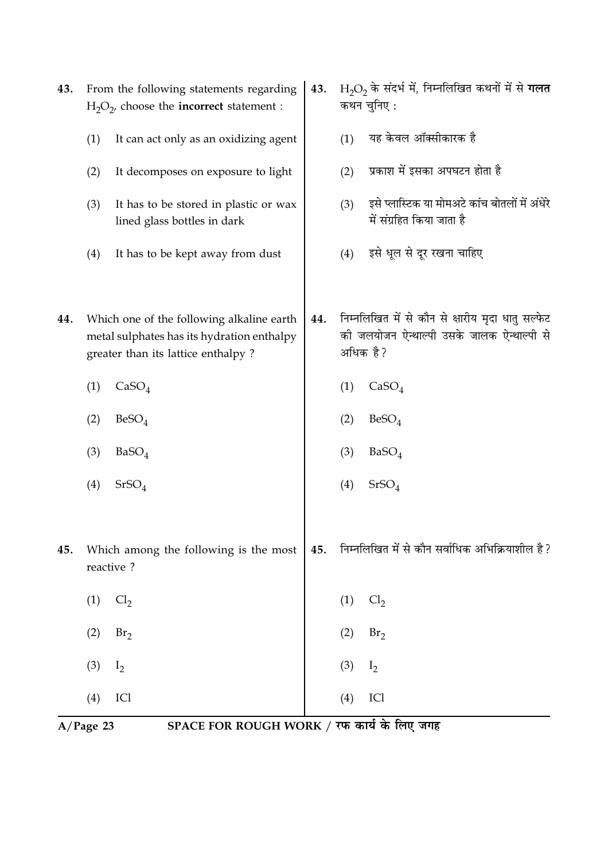|     | $A/Page$ 23 | SPACE FOR ROUGH WORK / रफ कार्य के लिए जगह                                                                                    |     |     |                                                                                                             |
|-----|-------------|-------------------------------------------------------------------------------------------------------------------------------|-----|-----|-------------------------------------------------------------------------------------------------------------|
|     | (4)         | ICI                                                                                                                           |     | (4) | ICI                                                                                                         |
|     | (3)         | I <sub>2</sub>                                                                                                                |     | (3) | $I_2$                                                                                                       |
|     | (2)         | Br <sub>2</sub>                                                                                                               |     | (2) | Br <sub>2</sub>                                                                                             |
|     | (1)         | Cl <sub>2</sub>                                                                                                               |     | (1) | Cl <sub>2</sub>                                                                                             |
| 45. |             | Which among the following is the most<br>reactive?                                                                            | 45. |     | निम्नलिखित में से कौन सर्वाधिक अभिक्रियाशील है ?                                                            |
|     | (4)         | SrSO <sub>4</sub>                                                                                                             |     | (4) | $SrSO_4$                                                                                                    |
|     | (3)         | BaSO <sub>4</sub>                                                                                                             |     | (3) | BaSO <sub>4</sub>                                                                                           |
|     | (2)         | BeSO <sub>4</sub>                                                                                                             |     | (2) | BeSO <sub>4</sub>                                                                                           |
|     | (1)         | CaSO <sub>4</sub>                                                                                                             |     | (1) | CaSO <sub>4</sub>                                                                                           |
| 44. |             | Which one of the following alkaline earth<br>metal sulphates has its hydration enthalpy<br>greater than its lattice enthalpy? | 44. |     | निम्नलिखित में से कौन से क्षारीय मृदा धातु सल्फेट<br>की जलयोजन ऐन्थाल्पी उसके जालक ऐन्थाल्पी से<br>अधिक है? |
|     | (4)         | It has to be kept away from dust                                                                                              |     | (4) | इसे धूल से दूर रखना चाहिए                                                                                   |
|     | (3)         | It has to be stored in plastic or wax<br>lined glass bottles in dark                                                          |     | (3) | इसे प्लास्टिक या मोमअटे कांच बोतलों में अंधेरे<br>में संग्रहित किया जाता है                                 |
|     | (2)         | It decomposes on exposure to light                                                                                            |     | (2) | प्रकाश में इसका अपघटन होता है                                                                               |
|     | (1)         | It can act only as an oxidizing agent                                                                                         |     | (1) | यह केवल ऑक्सीकारक है                                                                                        |
| 43. |             | From the following statements regarding<br>$H_2O_2$ , choose the <b>incorrect</b> statement :                                 | 43. |     | $H2O2$ के संदर्भ में, निम्नलिखित कथनों में से गलत<br>कथन चुनिए:                                             |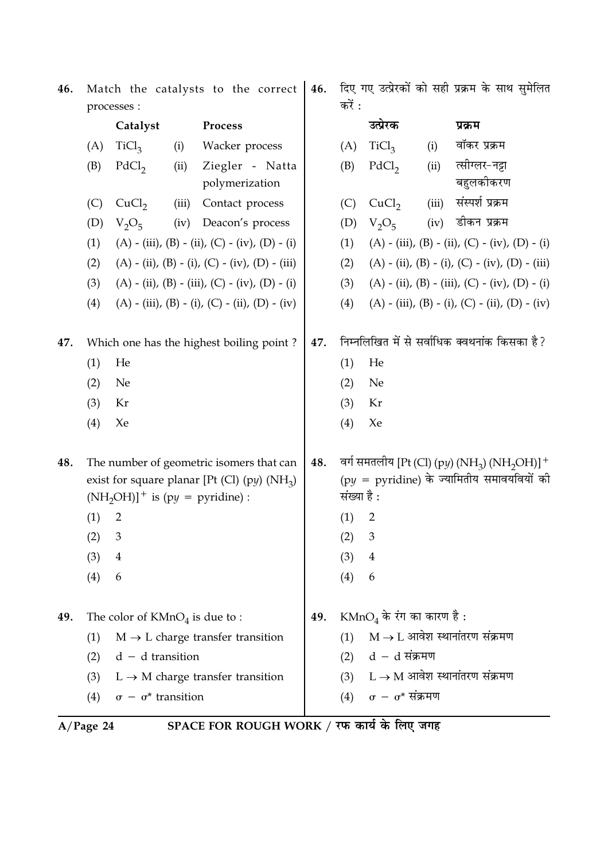| 46. | Match the catalysts to the correct<br>processes : |                                    |       | 46.                                                                                        | दिए गए उत्प्रेरकों को सही प्रक्रम के साथ सुमेलित<br>करें : |                                               |                                     |       |                                                                                                                                 |
|-----|---------------------------------------------------|------------------------------------|-------|--------------------------------------------------------------------------------------------|------------------------------------------------------------|-----------------------------------------------|-------------------------------------|-------|---------------------------------------------------------------------------------------------------------------------------------|
|     |                                                   | Catalyst                           |       | Process                                                                                    |                                                            |                                               | उत्प्रेरक                           |       | प्रक्रम                                                                                                                         |
|     | (A)                                               | TiCl <sub>3</sub>                  | (i)   | Wacker process                                                                             |                                                            | (A)                                           | TiCl <sub>3</sub>                   | (i)   | वॉकर प्रक्रम                                                                                                                    |
|     | (B)                                               | PdCl <sub>2</sub>                  | (ii)  | Ziegler - Natta                                                                            |                                                            | (B)                                           | PdCl <sub>2</sub>                   | (ii)  | त्सीग्लर-नट्टा                                                                                                                  |
|     |                                                   |                                    |       | polymerization                                                                             |                                                            |                                               |                                     |       | बहुलकीकरण                                                                                                                       |
|     | (C)                                               | CuCl <sub>2</sub>                  | (iii) | Contact process                                                                            |                                                            | (C)                                           | CuCl <sub>2</sub>                   | (iii) | संस्पर्श प्रक्रम                                                                                                                |
|     | (D)                                               | $V_2O_5$                           | (iv)  | Deacon's process                                                                           |                                                            | (D)                                           | $V_2O_5$                            | (iv)  | डीकन प्रक्रम                                                                                                                    |
|     | (1)                                               |                                    |       | (A) - (iii), (B) - (ii), (C) - (iv), (D) - (i)                                             |                                                            | (1)                                           |                                     |       | (A) - (iii), (B) - (ii), (C) - (iv), (D) - (i)                                                                                  |
|     | (2)                                               |                                    |       | $(A) - (ii), (B) - (i), (C) - (iv), (D) - (iii)$                                           |                                                            | (2)                                           |                                     |       | $(A) - (ii), (B) - (i), (C) - (iv), (D) - (iii)$                                                                                |
|     | (3)                                               |                                    |       | (A) - (ii), (B) - (iii), (C) - (iv), (D) - (i)                                             |                                                            | (3)                                           |                                     |       | $(A) - (ii)$ , $(B) - (iii)$ , $(C) - (iv)$ , $(D) - (i)$                                                                       |
|     | (4)                                               |                                    |       | (A) - (iii), (B) - (i), (C) - (ii), (D) - (iv)                                             |                                                            | (4)                                           |                                     |       | $(A) - (iii)$ , $(B) - (i)$ , $(C) - (ii)$ , $(D) - (iv)$                                                                       |
| 47. |                                                   |                                    |       | Which one has the highest boiling point?                                                   | 47.                                                        | निम्नलिखित में से सर्वाधिक क्वथनांक किसका है? |                                     |       |                                                                                                                                 |
|     | (1)                                               | He                                 |       |                                                                                            |                                                            | (1)                                           | He                                  |       |                                                                                                                                 |
|     | (2)                                               | Ne                                 |       |                                                                                            |                                                            | (2)                                           | Ne                                  |       |                                                                                                                                 |
|     | (3)                                               | Kr                                 |       |                                                                                            |                                                            | (3)                                           | Kr                                  |       |                                                                                                                                 |
|     | (4)                                               | Xe                                 |       |                                                                                            |                                                            | (4)                                           | Xe                                  |       |                                                                                                                                 |
| 48. |                                                   | $(NH_2OH)]^+$ is (py = pyridine) : |       | The number of geometric isomers that can<br>exist for square planar [Pt (Cl) (py) $(NH_3)$ | 48.                                                        | संख्या है :                                   |                                     |       | वर्ग समतलीय [Pt (Cl) (py) (NH <sub>3</sub> ) (NH <sub>2</sub> OH)] <sup>+</sup><br>$(py = pyridine)$ के ज्यामितीय समावयवियों की |
|     | (1)                                               | $\overline{2}$                     |       |                                                                                            |                                                            | (1)                                           | 2                                   |       |                                                                                                                                 |
|     | (2)                                               | 3                                  |       |                                                                                            |                                                            | (2)                                           | З                                   |       |                                                                                                                                 |
|     | (3)                                               | $\overline{4}$                     |       |                                                                                            |                                                            | (3)                                           | $\overline{4}$                      |       |                                                                                                                                 |
|     | (4)                                               | 6                                  |       |                                                                                            |                                                            | (4)                                           | 6                                   |       |                                                                                                                                 |
| 49. |                                                   | The color of $KMnO4$ is due to :   |       |                                                                                            | 49.                                                        |                                               | $\text{KMnO}_4$ के रंग का कारण है : |       |                                                                                                                                 |
|     | (1)                                               |                                    |       | $M \rightarrow L$ charge transfer transition                                               |                                                            | (1)                                           |                                     |       | $M \rightarrow L$ आवेश स्थानांतरण संक्रमण                                                                                       |
|     | (2)                                               | $d - d$ transition                 |       |                                                                                            |                                                            | (2)                                           | $d - d$ संक्रमण                     |       |                                                                                                                                 |
|     | (3)                                               |                                    |       | $L \rightarrow M$ charge transfer transition                                               |                                                            | (3)                                           |                                     |       | $L \rightarrow M$ आवेश स्थानांतरण संक्रमण                                                                                       |
|     | (4)                                               | $\sigma - \sigma^*$ transition     |       |                                                                                            |                                                            | (4)                                           | $\sigma - \sigma^*$ संक्रमण         |       |                                                                                                                                 |
|     |                                                   |                                    |       |                                                                                            |                                                            |                                               |                                     |       |                                                                                                                                 |

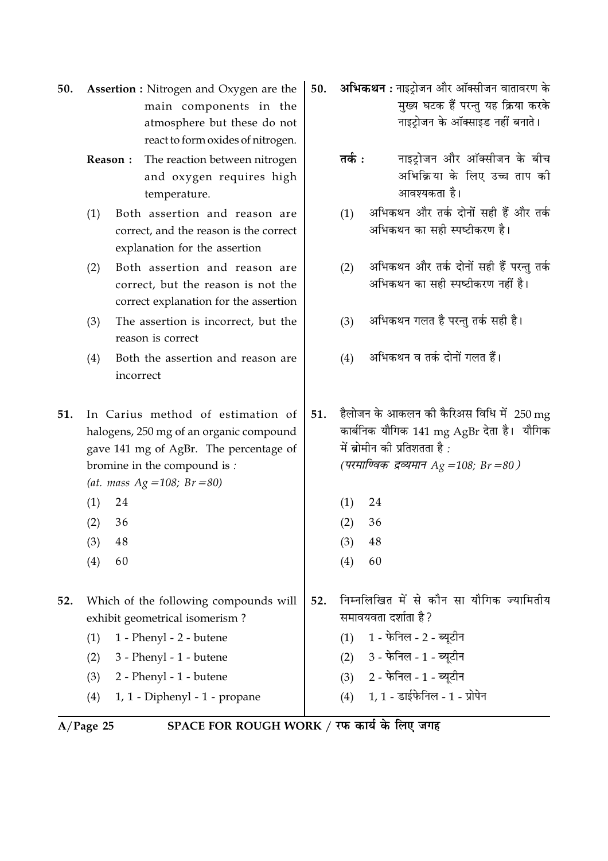| 50. Assertion : Nitrogen and Oxygen are the $\vert$ 50. |  |
|---------------------------------------------------------|--|
| main components in the $\vert$                          |  |
| atmosphere but these do not                             |  |
| react to form oxides of nitrogen.                       |  |

The reaction between nitrogen Reason: and oxygen requires high temperature.

Both assertion and reason are  $(1)$ correct, and the reason is the correct explanation for the assertion

- Both assertion and reason are  $(2)$ correct, but the reason is not the correct explanation for the assertion
- The assertion is incorrect, but the  $(3)$ reason is correct
- Both the assertion and reason are  $(4)$ incorrect

51. In Carius method of estimation of halogens, 250 mg of an organic compound gave 141 mg of AgBr. The percentage of bromine in the compound is:

- (at. mass  $Ag = 108$ ;  $Br = 80$ )
- $(1)$ 24
- $(2)$ 36
- $(3)$ 48
- $(4)$ 60
- 52. Which of the following compounds will exhibit geometrical isomerism?
	- 1 Phenyl 2 butene  $(1)$

 $(2)$ 3 - Phenyl - 1 - butene

- 2 Phenyl 1 butene  $(3)$
- $(4)$ 1, 1 - Diphenyl - 1 - propane

 $A/Page$  25

SPACE FOR ROUGH WORK / रफ कार्य के लिए जगह

52.

अभिकथन : नाइटोजन और ऑक्सीजन वातावरण के मुख्य घटक हैं परन्तु यह क्रिया करके नाइट्रोजन के ऑक्साइड नहीं बनाते।

- नाइटोजन और ऑक्सीजन के बीच तर्क $\cdot$ अभिक्रिया के लिए उच्च ताप की आवश्यकता है।
- अभिकथन और तर्क दोनों सही हैं और तर्क  $(1)$ अभिकथन का सही स्पष्टीकरण है।
- अभिकथन और तर्क दोनों सही हैं परन्तु तर्क  $(2)$ अभिकथन का सही स्पष्टीकरण नहीं है।
- अभिकथन गलत है परन्तु तर्क सही है।  $(3)$
- अभिकथन व तर्क दोनों गलत हैं।  $(4)$

हैलोजन के आकलन की कैरिअस विधि में  $250\,\mathrm{mg}$  $51$ कार्बनिक यौगिक 141 mg AgBr देता है। यौगिक में ब्रोमीन की प्रतिशतता है : (परमाण्विक द्रव्यमान Ag =108; Br =80)

निम्नलिखित में से कौन सा यौगिक ज्यामितीय

- $(1)$ 24
- $(2)$ 36
- $(3)$ 48
- $(4)$ 60

 $(3)$ 

 $(4)$ 

समावयवता दर्शाता है?

 $(1)$  1 - फेनिल - 2 - ब्यूटीन

(2) 3 - फेनिल - 1 - ब्यूटीन

2 - फेनिल - 1 - ब्युटीन

1, 1 - डाईफेनिल - 1 - प्रोपेन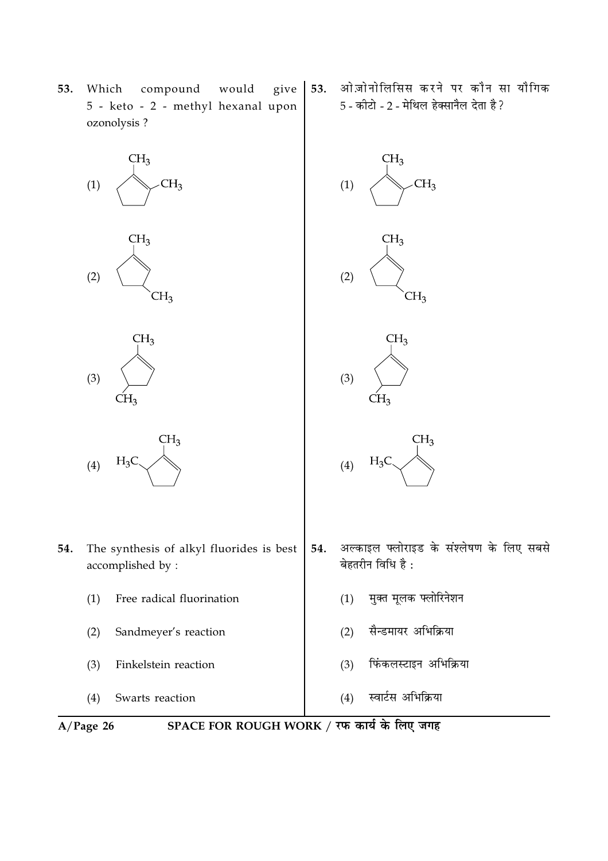

53.

ओज़ोनोलिसिस करने पर कौन सा यौगिक

5 - कीटो - 2 - मेथिल हेक्सानैल देता है ?

53. Which compound would give 5 - keto - 2 - methyl hexanal upon ozonolysis ?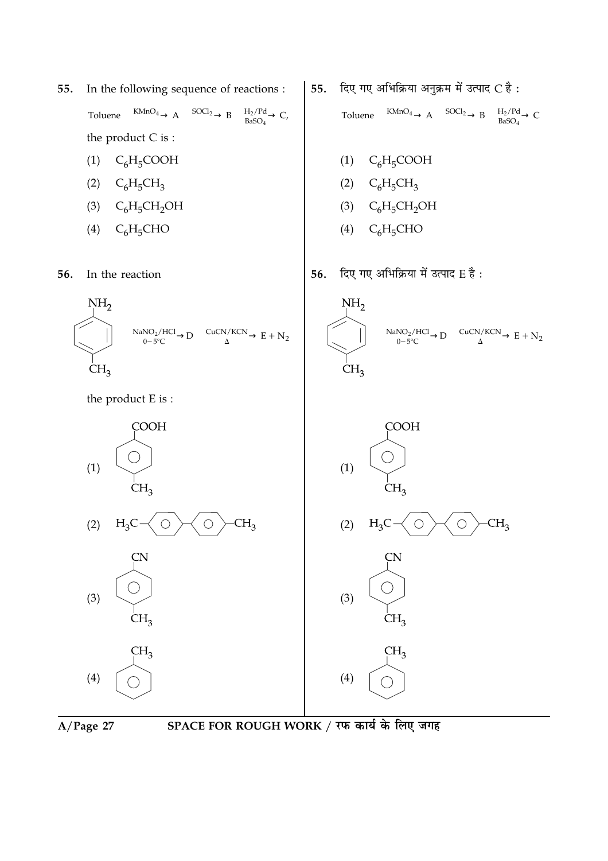55. In the following sequence of reactions :

> Toluene  $\xrightarrow{\text{KMnO}_4} A \xrightarrow{\text{SOCl}_2} B \xrightarrow{\text{H}_2/\text{Pd}} C$ , the product  $C$  is :

- $(1)$  C<sub>6</sub>H<sub>5</sub>COOH
- (2)  $C_6H_5CH_3$
- (3)  $C_6H_5CH_2OH$
- $(4)$  $C_6H_5CHO$

In the reaction 56.



the product E is:



- दिए गए अभिक्रिया अनुक्रम में उत्पाद C है: 55. Toluene  $\xrightarrow{\text{KMnO}_4} A \xrightarrow{\text{SOC}_2} B \xrightarrow{\text{H}_2/\text{Pd}} C$ 
	- (1)  $C_6H_5COOH$
	- (2)  $C_6H_5CH_3$
	- $C_6H_5CH_2OH$  $(3)$
	- $C_6H_5CHO$  $(4)$
- दिए गए अभिक्रिया में उत्पाद E है: 56.







**CN**  $(3)$  $CH<sub>3</sub>$  $CH<sub>3</sub>$ 

 $(4)$ 

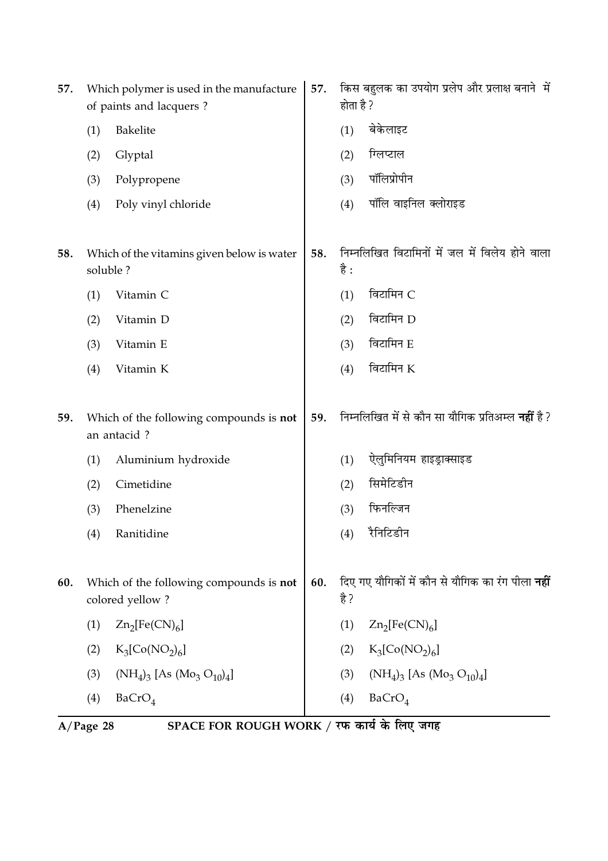| 57. |          | Which polymer is used in the manufacture<br>of paints and lacquers? | 57. | होता है ? | किस बहुलक का उपयोग प्रलेप और प्रलाक्ष बनाने  में          |
|-----|----------|---------------------------------------------------------------------|-----|-----------|-----------------------------------------------------------|
|     | (1)      | Bakelite                                                            |     | (1)       | बेकेलाइट                                                  |
|     | (2)      | Glyptal                                                             |     | (2)       | ग्लिप्टाल                                                 |
|     | (3)      | Polypropene                                                         |     | (3)       | पॉलिप्रोपीन                                               |
|     | (4)      | Poly vinyl chloride                                                 |     | (4)       | पॉलि वाइनिल क्लोराइड                                      |
| 58. | soluble? | Which of the vitamins given below is water                          | 58. | है :      | निम्नलिखित विटामिनों में जल में विलेय होने वाला           |
|     | (1)      | Vitamin C                                                           |     | (1)       | विटामिन C                                                 |
|     | (2)      | Vitamin D                                                           |     | (2)       | विटामिन D                                                 |
|     | (3)      | Vitamin E                                                           |     | (3)       | विटामिन E                                                 |
|     | (4)      | Vitamin K                                                           |     | (4)       | विटामिन $K$                                               |
| 59. |          | Which of the following compounds is not<br>an antacid?              | 59. |           | निम्नलिखित में से कौन सा यौगिक प्रतिअम्ल <b>नहीं</b> है ? |
|     | (1)      | Aluminium hydroxide                                                 |     | (1)       | ऐलुमिनियम हाइड्राक्साइड                                   |
|     | (2)      | Cimetidine                                                          |     | (2)       | सिमेटिडीन                                                 |
|     | (3)      | Phenelzine                                                          |     | (3)       | फिनल्जिन                                                  |
|     | (4)      | Ranitidine                                                          |     | (4)       | रैनिटिडीन                                                 |
| 60. |          | Which of the following compounds is not<br>colored yellow?          | 60. | है ?      | दिए गए यौगिकों में कौन से यौगिक का रंग पीला <b>नहीं</b>   |
|     | (1)      | $Zn_2[Fe(CN)_6]$                                                    |     | (1)       | $Zn_2[Fe(CN)_6]$                                          |
|     | (2)      | $K_3[Co(NO_2)_6]$                                                   |     | (2)       | $K_3[Co(NO_2)_6]$                                         |
|     | (3)      | $(NH_4)_3$ [As $(Mo_3 O_{10})_4$ ]                                  |     | (3)       | $(NH_4)_3$ [As $(Mo_3 O_{10})_4$ ]                        |
|     | (4)      | BaCrO <sub>4</sub>                                                  |     | (4)       | BaCrO <sub>4</sub>                                        |

A/Page 28 SPACE FOR ROUGH WORK / रफ कार्य के लिए जगह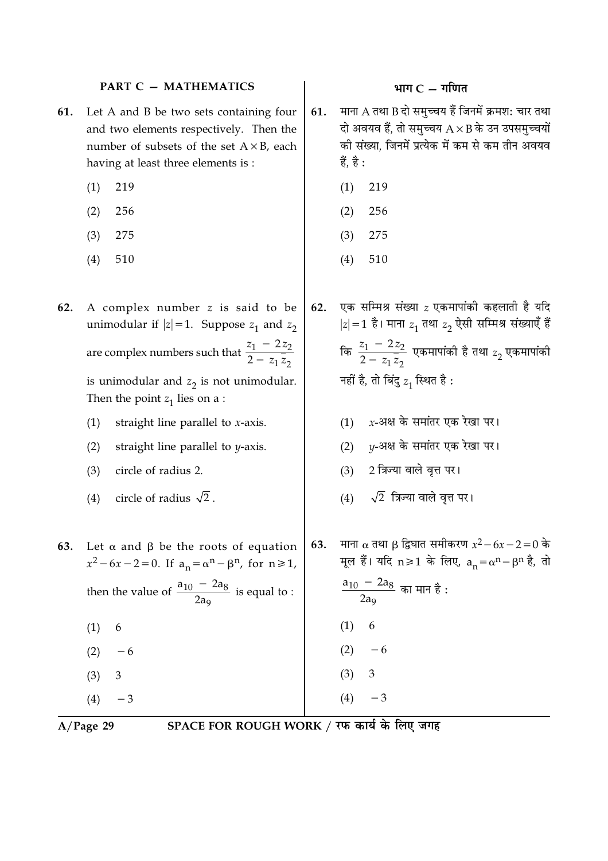#### **PART C - MATHEMATICS**

- Let A and B be two sets containing four 61. and two elements respectively. Then the number of subsets of the set  $A \times B$ , each having at least three elements is :
	- $(1)$ 219
	- $(2)$ 256
	- $(3)$ 275
	- $(4)$ 510
- 62. A complex number z is said to be unimodular if  $|z|=1$ . Suppose  $z_1$  and  $z_2$ are complex numbers such that  $\frac{z_1 - 2z_2}{2 - z_1 \overline{z_2}}$ is unimodular and  $z_2$  is not unimodular. Then the point  $z_1$  lies on a :
	- straight line parallel to  $x$ -axis.  $(1)$
	- straight line parallel to  $\nu$ -axis.  $(2)$
	- circle of radius 2.  $(3)$
	- circle of radius  $\sqrt{2}$ .  $(4)$
- 63. Let  $\alpha$  and  $\beta$  be the roots of equation  $x^2 - 6x - 2 = 0$ . If  $a_n = \alpha^n - \beta^n$ , for  $n \ge 1$ , then the value of  $\frac{a_{10} - 2a_8}{2a_0}$  is equal to : 6  $(1)$  $(2)$  $-6$  $(3)$ 3
	- $(4)$  $-3$

 $A/Page$  29

SPACE FOR ROUGH WORK / रफ कार्य के लिए जगह

# भाग $C - \eta$ णित

- माना A तथा B दो समच्चय हैं जिनमें क्रमश: चार तथा 61. दो अवयव हैं, तो समुच्चय  $A \times B$  के उन उपसमुच्चयों की संख्या, जिनमें प्रत्येक में कम से कम तीन अवयव हैं, है :
	- 219  $(1)$
	- $(2)$ 256
	- $(3)$ 275
	- $(4)$ 510

एक सम्मिश्र संख्या  $z$  एकमापांकी कहलाती है यदि 62.  $|z|=1$  है। माना  $z_1$  तथा  $z_2$  ऐसी सम्मिश्र संख्याएँ हैं कि  $\frac{z_1 - 2z_2}{2 - z_1 \overline{z}_2}$  एकमापांकी है तथा  $z_2$  एकमापांकी नहीं है, तो बिंदु  $z_1$  स्थित है:

- $(1)$  x-अक्ष के समांतर एक रेखा पर।
- (2)  $y$ -अक्ष के समांतर एक रेखा पर।
- (3) 2 त्रिज्या वाले वृत्त पर।
- $\sqrt{2}$  त्रिज्या वाले वृत्त पर।  $(4)$
- माना α तथा β द्विघात समीकरण  $x^2 6x 2 = 0$  के 63. मूल हैं। यदि n≥1 के लिए,  $a_n = \alpha^n - \beta^n$  है, तो  $\frac{a_{10} - 2a_8}{2a_9}$  का मान है :  $(1)$ 6  $(2)$  $-6$  $(3)$ 3  $(4)$  $-3$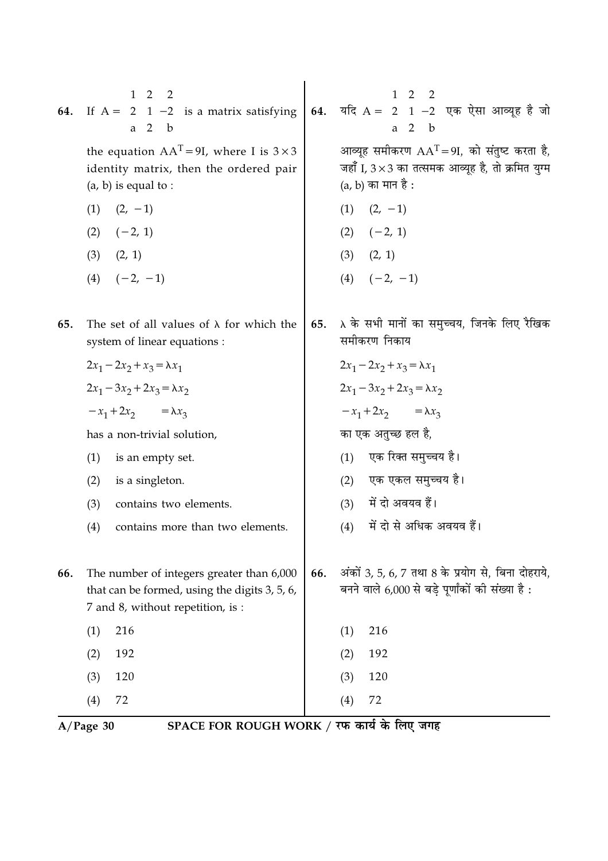| 64. | If $A = \begin{bmatrix} 1 & 2 & 2 \\ 2 & 1 & -2 \\ a & 2 & b \end{bmatrix}$ is a matrix satisfying <b>64.</b> $\pi$ and $A = \begin{bmatrix} 1 & 2 & 2 \\ 2 & 1 & -2 \\ a & 2 & b \end{bmatrix}$ $\pi$ and $\pi$ and $\pi$ and $\pi$ and $\pi$<br>the equation $AAT = 9I$ , where I is $3 \times 3$<br>identity matrix, then the ordered pair<br>$(a, b)$ is equal to :<br>$(1)$ $(2, -1)$<br>$(2) \quad (-2, 1)$<br>$(3)$ $(2, 1)$<br>$(4)$ $(-2, -1)$ |     | आव्यूह समीकरण $AAT = 9I$ , को संतुष्ट करता है,<br>जहाँ I, 3 × 3 का तत्समक आव्यूह है, तो क्रमित युग्म<br>(a, b) का मान है :<br>$(1)$ $(2, -1)$<br>$(2) \quad (-2, 1)$<br>$(3)$ $(2, 1)$<br>$(4)$ $(-2, -1)$ |
|-----|---------------------------------------------------------------------------------------------------------------------------------------------------------------------------------------------------------------------------------------------------------------------------------------------------------------------------------------------------------------------------------------------------------------------------------------------------------|-----|------------------------------------------------------------------------------------------------------------------------------------------------------------------------------------------------------------|
| 65. | The set of all values of $\lambda$ for which the<br>system of linear equations :<br>$2x_1 - 2x_2 + x_3 = \lambda x_1$<br>$2x_1 - 3x_2 + 2x_3 = \lambda x_2$<br>$-x_1+2x_2 = \lambda x_3$                                                                                                                                                                                                                                                                | 65. | $\lambda$ के सभी मानों का समुच्चय, जिनके लिए रैखिक<br>समीकरण निकाय<br>$2x_1 - 2x_2 + x_3 = \lambda x_1$<br>$2x_1 - 3x_2 + 2x_3 = \lambda x_2$<br>$-x_1+2x_2 = \lambda x_3$                                 |
|     | has a non-trivial solution,<br>(1)<br>is an empty set.<br>(2)<br>is a singleton.<br>contains two elements.<br>(3)<br>(4)<br>contains more than two elements.                                                                                                                                                                                                                                                                                            |     | का एक अतुच्छ हल है,<br>(1) एक रिक्त समुच्चय है।<br>(2) एक एकल समुच्चय है।<br>(3) में दो अवयव हैं।<br>में दो से अधिक अवयव हैं।<br>(4)                                                                       |
| 66. | The number of integers greater than 6,000<br>that can be formed, using the digits 3, 5, 6,<br>7 and 8, without repetition, is :<br>216<br>(1)<br>192<br>(2)<br>(3)<br>120<br>72<br>(4)                                                                                                                                                                                                                                                                  | 66. | अंकों 3, 5, 6, 7 तथा 8 के प्रयोग से, बिना दोहराये,<br>बनने वाले 6,000 से बड़े पूर्णांकों की संख्या है :<br>216<br>(1)<br>192<br>(2)<br>(3)<br>120<br>72<br>(4)                                             |

A/Page 30 SPACE FOR ROUGH WORK / रफ कार्य के लिए जगह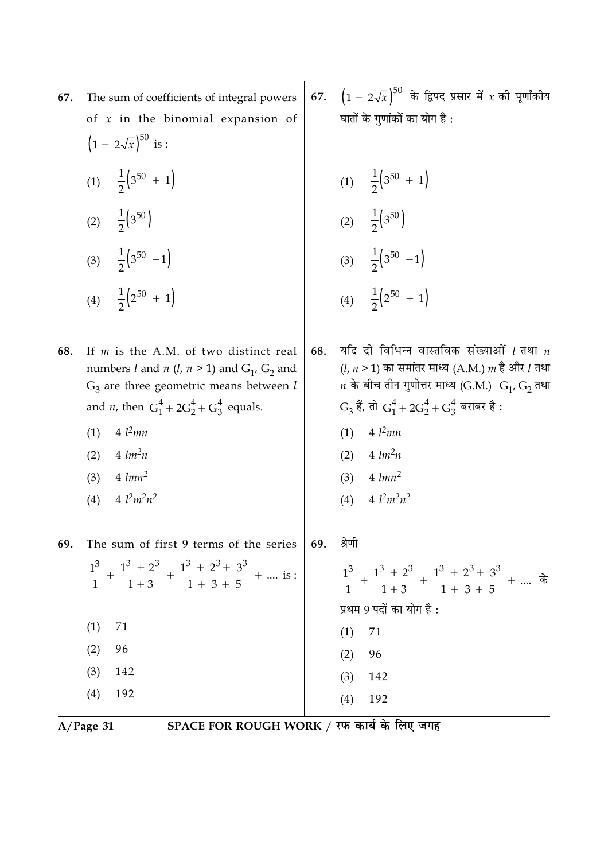| The sum of coefficients of integral powers                                                                                                                                                                                                                           | 67.                                                                     | $(1 - 2\sqrt{x})^{50}$ के द्विपद प्रसार में $x$ की पूर्णांकीय<br>घातों के गुणांकों का योग है :                                                                                                                                                                                           |
|----------------------------------------------------------------------------------------------------------------------------------------------------------------------------------------------------------------------------------------------------------------------|-------------------------------------------------------------------------|------------------------------------------------------------------------------------------------------------------------------------------------------------------------------------------------------------------------------------------------------------------------------------------|
| $(1 - 2\sqrt{x})^{50}$ is :                                                                                                                                                                                                                                          |                                                                         |                                                                                                                                                                                                                                                                                          |
| (1) $\frac{1}{2}$ (3 <sup>50</sup> + 1)                                                                                                                                                                                                                              |                                                                         | (1) $\frac{1}{2}$ (3 <sup>50</sup> + 1)                                                                                                                                                                                                                                                  |
| (2) $\frac{1}{2}$ (3 <sup>50</sup> )                                                                                                                                                                                                                                 |                                                                         | (2) $\frac{1}{2}$ (3 <sup>50</sup> )                                                                                                                                                                                                                                                     |
| (3) $\frac{1}{2}$ (3 <sup>50</sup> -1)                                                                                                                                                                                                                               |                                                                         | (3) $\frac{1}{2}$ (3 <sup>50</sup> -1)                                                                                                                                                                                                                                                   |
| (4) $\frac{1}{2}$ (2 <sup>50</sup> + 1)                                                                                                                                                                                                                              |                                                                         | (4) $\frac{1}{2}$ (2 <sup>50</sup> + 1)                                                                                                                                                                                                                                                  |
| If $m$ is the A.M. of two distinct real<br>numbers l and n (l, $n > 1$ ) and G <sub>1</sub> , G <sub>2</sub> and<br>$G_3$ are three geometric means between l<br>and <i>n</i> , then $G_1^4 + 2G_2^4 + G_3^4$ equals.<br>$4 \; l^2$ mn<br>(1)<br>$4 \, lm^2n$<br>(2) | 68.                                                                     | यदि दो विभिन्न वास्तविक संख्याओं $l$ तथा $n$<br>( <i>l</i> , <i>n</i> > 1) का समांतर माध्य (A.M.) <i>m</i> है और <i>l</i> तथा<br>$n$ के बीच तीन गुणोत्तर माध्य (G.M.) $G_1$ , $G_2$ तथा<br>$G_3$ हैं, तो $G_1^4 + 2G_2^4 + G_3^4$ बराबर है :<br>$4 \; l^2$ mn<br>(1)<br>(2) $4 \, lm^2n$ |
| (3)<br>4 $l^2m^2n^2$<br>(4)                                                                                                                                                                                                                                          |                                                                         | (3) $4 \, \text{lmn}^2$<br>4 $l^2m^2n^2$<br>(4)                                                                                                                                                                                                                                          |
| The sum of first 9 terms of the series                                                                                                                                                                                                                               | 69.                                                                     | श्रेणी<br>$\frac{1^3}{1}$ + $\frac{1^3+2^3}{1+3}$ + $\frac{1^3+2^3+3^3}{1+3+5}$ +  के<br>प्रथम 9 पदों का योग है :                                                                                                                                                                        |
| (1)<br>71                                                                                                                                                                                                                                                            |                                                                         | (1)<br>71                                                                                                                                                                                                                                                                                |
| (3)<br>142                                                                                                                                                                                                                                                           |                                                                         | (2)<br>96<br>$(3)$ 142                                                                                                                                                                                                                                                                   |
| (4)<br>192                                                                                                                                                                                                                                                           |                                                                         | (4)<br>192                                                                                                                                                                                                                                                                               |
|                                                                                                                                                                                                                                                                      | of $x$ in the binomial expansion of<br>$4 \; \text{lmn}^2$<br>96<br>(2) | $\frac{1^3}{1}$ + $\frac{1^3 + 2^3}{1 + 3}$ + $\frac{1^3 + 2^3 + 3^3}{1 + 3 + 5}$ +  is :                                                                                                                                                                                                |

A/Page 31 SPACE FOR ROUGH WORK / रफ कार्य के लिए जगह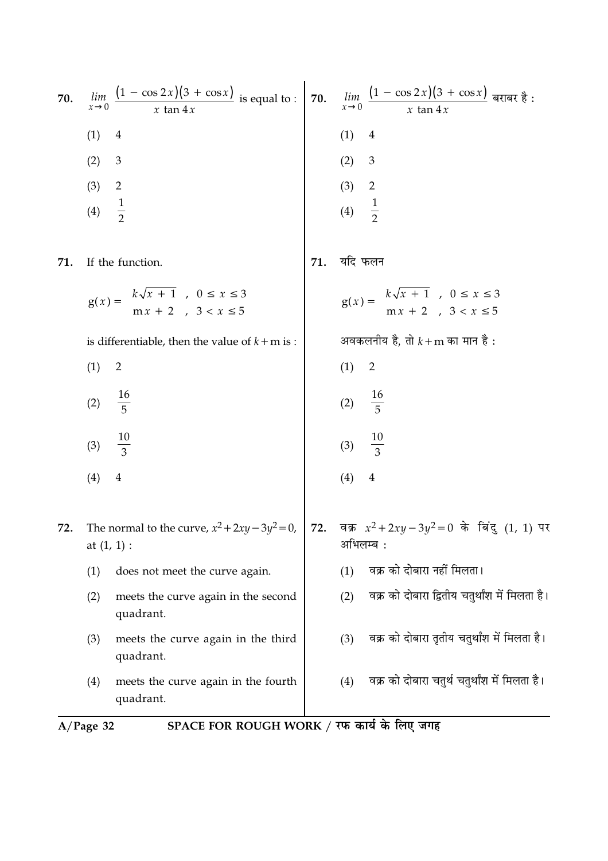|     | SPACE FOR ROUGH WORK / रफ कार्य के लिए जगह<br>$A/Page$ 32                                  |     |                                                                                          |  |  |
|-----|--------------------------------------------------------------------------------------------|-----|------------------------------------------------------------------------------------------|--|--|
|     | (4)<br>meets the curve again in the fourth<br>quadrant.                                    |     | वक्र को दोबारा चतुर्थ चतुर्थांश में मिलता है।<br>(4)                                     |  |  |
|     | (3)<br>meets the curve again in the third<br>quadrant.                                     |     | वक्र को दोबारा तृतीय चतुर्थांश में मिलता है।<br>(3)                                      |  |  |
|     | (2)<br>meets the curve again in the second<br>quadrant.                                    |     | वक्र को दोबारा द्वितीय चतुर्थांश में मिलता है।<br>(2)                                    |  |  |
|     | (1)<br>does not meet the curve again.                                                      |     | वक्र को दोबारा नहीं मिलता।<br>(1)                                                        |  |  |
| 72. | The normal to the curve, $x^2 + 2xy - 3y^2 = 0$ ,<br>at $(1, 1)$ :                         |     | 72. वक्र $x^2 + 2xy - 3y^2 = 0$ के बिंदु (1, 1) पर<br>अभिलम्ब :                          |  |  |
|     | (4)<br>$\overline{4}$                                                                      |     | (4)<br>$\overline{4}$                                                                    |  |  |
|     | $\frac{10}{3}$<br>(3)                                                                      |     | (3) $\frac{10}{3}$                                                                       |  |  |
|     | $\frac{16}{5}$<br>(2)                                                                      |     | (2) $\frac{16}{5}$                                                                       |  |  |
|     | (1)<br>$\overline{2}$                                                                      |     | (1)<br>2                                                                                 |  |  |
|     | is differentiable, then the value of $k+m$ is :                                            |     | अवकलनीय है, तो $k + m$ का मान है :                                                       |  |  |
|     | $g(x) = \begin{cases} k\sqrt{x} + 1, & 0 \le x \le 3 \\ mx + 2, & 3 < x \le 5 \end{cases}$ |     | $g(x) = \begin{cases} k\sqrt{x+1} , & 0 \le x \le 3 \\ mx+2 , & 3 < x \le 5 \end{cases}$ |  |  |
| 71. | If the function.                                                                           | 71. | यदि फलन                                                                                  |  |  |
|     | $\frac{1}{2}$<br>(4)                                                                       |     |                                                                                          |  |  |
|     | (3)<br>$\overline{2}$                                                                      |     | (2) 3<br>(3) 2<br>(4) $\frac{1}{2}$                                                      |  |  |
|     | (2)<br>$\mathfrak{Z}$                                                                      |     | (2)<br>$\mathfrak 3$                                                                     |  |  |
|     | (1)<br>4                                                                                   |     | (1)<br>$\overline{4}$                                                                    |  |  |
| 70. | $\frac{(1 - \cos 2x)(3 + \cos x)}{x \tan 4x}$ is equal to : 70.<br>lim<br>$x\rightarrow 0$ |     | $\lim_{x\to 0} \frac{(1-\cos 2x)(3+\cos x)}{x \tan 4x}$ बराबर है :                       |  |  |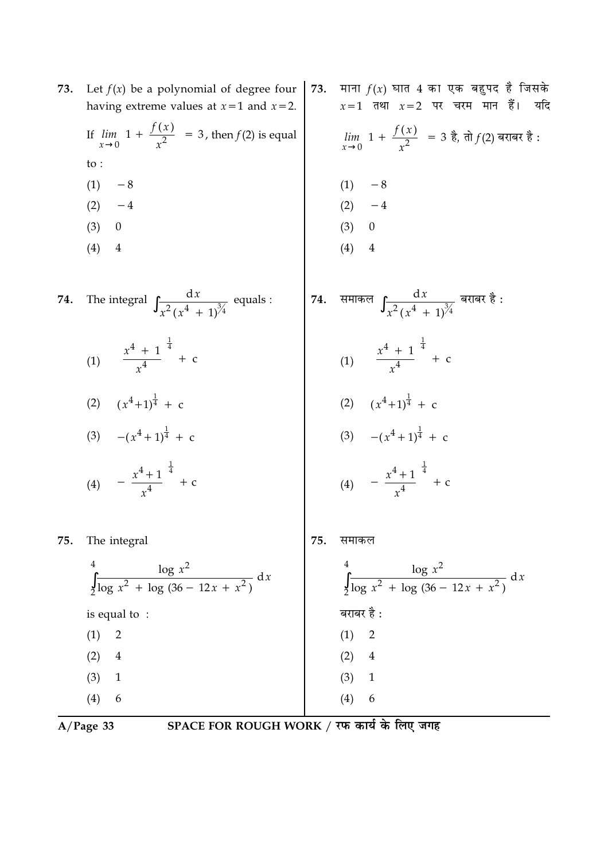| 73. | Let $f(x)$ be a polynomial of degree four                                         | 73. | माना $f(x)$ घात 4 का एक बहुपद है जिसके                                                                |
|-----|-----------------------------------------------------------------------------------|-----|-------------------------------------------------------------------------------------------------------|
|     | having extreme values at $x=1$ and $x=2$ .                                        |     | $x=1$ तथा $x=2$ पर चरम मान हैं। यदि                                                                   |
|     | If $\lim_{x\to 0}$ $\left 1 + \frac{f(x)}{x^2}\right  = 3$ , then $f(2)$ is equal |     | $\lim_{x\to 0}$ 1 + $\frac{f(x)}{x^2}$ = 3 है, तो $f(2)$ बराबर है:                                    |
|     | to :                                                                              |     |                                                                                                       |
|     | (1)<br>$-8$                                                                       |     | $-8$<br>(1)                                                                                           |
|     | $-4$<br>(2)                                                                       |     | $(2) -4$                                                                                              |
|     | (3)<br>$\overline{0}$                                                             |     | (3)<br>$\boldsymbol{0}$                                                                               |
|     | (4)<br>$\overline{4}$                                                             |     | (4)<br>$\overline{4}$                                                                                 |
|     |                                                                                   |     |                                                                                                       |
| 74. | The integral $\int \frac{dx}{x^2(x^4 + 1)^{\frac{3}{4}}}$ equals :                | 74. | समाकल $\int \! \frac{\mathrm{d} x}{x^2 \, (\, x^4 \, + \, 1 \, )^{3 \! \! \! \! \! \! 4}}$ बराबर है : |
|     | (1) $\left(\frac{x^4 + 1}{x^4}\right)^{\frac{1}{4}} + c$                          |     | (1) $\left(\frac{x^4+1}{x^4}\right)^{\frac{1}{4}} + c$                                                |
|     | (2) $(x^4+1)^{\frac{1}{4}} + c$                                                   |     |                                                                                                       |
|     | (3) $-(x^4+1)^{\frac{1}{4}} + c$                                                  |     | (2) $(x^4+1)^{\frac{1}{4}} + c$<br>(3) $-(x^4+1)^{\frac{1}{4}} + c$                                   |
|     | (4) $-\left(\frac{x^4+1}{x^4}\right)^{\frac{1}{4}} + c$                           |     | (4) $-\left(\frac{x^4+1}{x^4}\right)^{\frac{1}{4}} + c$                                               |
| 75. | The integral                                                                      | 75. | समाकल                                                                                                 |

The integral<br>  $\int_{2}^{4} \frac{\log x^2}{\log x^2 + \log (36 - 12x + x^2)} dx$ <br>
is equal to :<br>
(1) 2<br>
(2) 4<br>
(3) 1<br>
(3) 4<br>
(3) 1<br>
(3) 1<br>
(3) 1<br>
(4)  $\log x^2$ <br>  $\int_{2}^{4} \frac{\log x^2}{\log x^2 + \log (36 - 12x + x^2)} dx$ <br>  $\int_{2}^{4} \frac{\log x^2}{\log x^2 + \log (36 - 12x + x^2)} dx$ <br>  $\int_{$  $(4) 6$ 

 $A/Page$  33

SPACE FOR ROUGH WORK / रफ कार्य के लिए जगह

 $(4)$ 6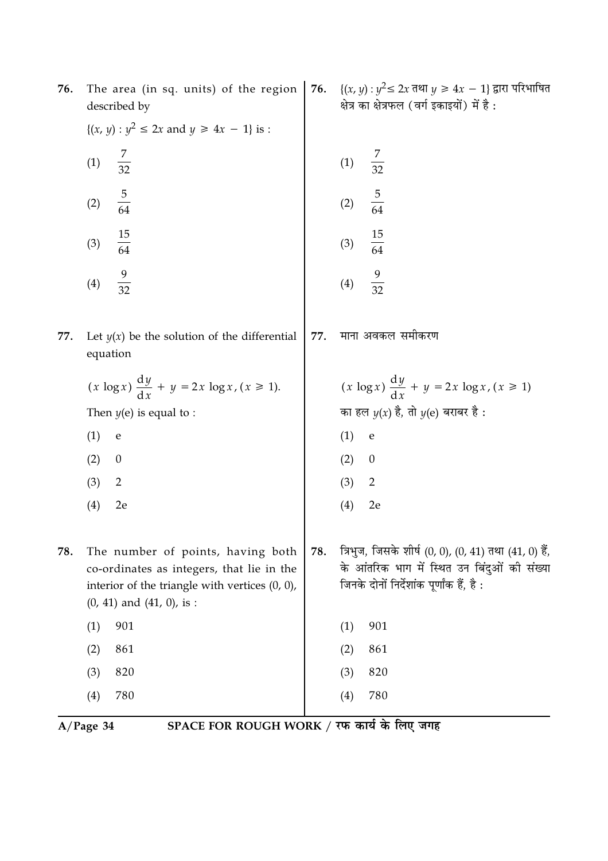| 76. | The area (in sq. units) of the region<br>described by                                                                                                                 | 76. | {( <i>x</i> , <i>y</i> ) : $y^2$ ≤ 2 <i>x</i> तथा <i>y</i> ≥ 4 <i>x</i> − 1} द्वारा परिभाषित<br>क्षेत्र का क्षेत्रफल (वर्ग इकाइयों) में है:       |
|-----|-----------------------------------------------------------------------------------------------------------------------------------------------------------------------|-----|---------------------------------------------------------------------------------------------------------------------------------------------------|
|     | $\{(x, y) : y^2 \le 2x \text{ and } y \ge 4x - 1\} \text{ is :}$                                                                                                      |     |                                                                                                                                                   |
|     | $\frac{7}{32}$<br>(1)                                                                                                                                                 |     | $\frac{7}{32}$<br>(1)                                                                                                                             |
|     | $\frac{5}{64}$<br>(2)                                                                                                                                                 |     | $\frac{5}{64}$<br>(2)                                                                                                                             |
|     | $\frac{15}{64}$<br>(3)                                                                                                                                                |     | $\frac{15}{64}$<br>(3)                                                                                                                            |
|     | $\frac{9}{32}$<br>(4)                                                                                                                                                 |     | $\frac{9}{32}$<br>(4)                                                                                                                             |
| 77. | Let $y(x)$ be the solution of the differential<br>equation                                                                                                            | 77. | माना अवकल समीकरण                                                                                                                                  |
|     | $(x \log x) \frac{dy}{dx} + y = 2x \log x, (x \ge 1).$                                                                                                                |     | $(x \log x) \frac{dy}{dx} + y = 2x \log x, (x \ge 1)$                                                                                             |
|     | Then $y(e)$ is equal to :                                                                                                                                             |     | का हल $y(x)$ है, तो $y(e)$ बराबर है :                                                                                                             |
|     | (1)<br>$\mathbf e$                                                                                                                                                    |     | (1)<br>$\mathbf e$                                                                                                                                |
|     | (2)<br>$\boldsymbol{0}$                                                                                                                                               |     | (2)<br>$\boldsymbol{0}$                                                                                                                           |
|     | (3)<br>2                                                                                                                                                              |     | (3)<br>$\overline{2}$                                                                                                                             |
|     | (4)<br>2e                                                                                                                                                             |     | (4)<br>2e                                                                                                                                         |
| 78. | The number of points, having both<br>co-ordinates as integers, that lie in the<br>interior of the triangle with vertices $(0, 0)$ ,<br>$(0, 41)$ and $(41, 0)$ , is : | 78. | त्रिभुज, जिसके शीर्ष (0, 0), (0, 41) तथा (41, 0) हैं,<br>के आंतरिक भाग में स्थित उन बिंदुओं की संख्या<br>जिनके दोनों निर्देशांक पूर्णांक हैं, है: |
|     | 901<br>(1)                                                                                                                                                            |     | 901<br>(1)                                                                                                                                        |
|     | 861<br>(2)                                                                                                                                                            |     | 861<br>(2)                                                                                                                                        |
|     | 820<br>(3)                                                                                                                                                            |     | 820<br>(3)                                                                                                                                        |
|     | 780<br>(4)                                                                                                                                                            |     | 780<br>(4)                                                                                                                                        |

 $\overline{A/Page 34}$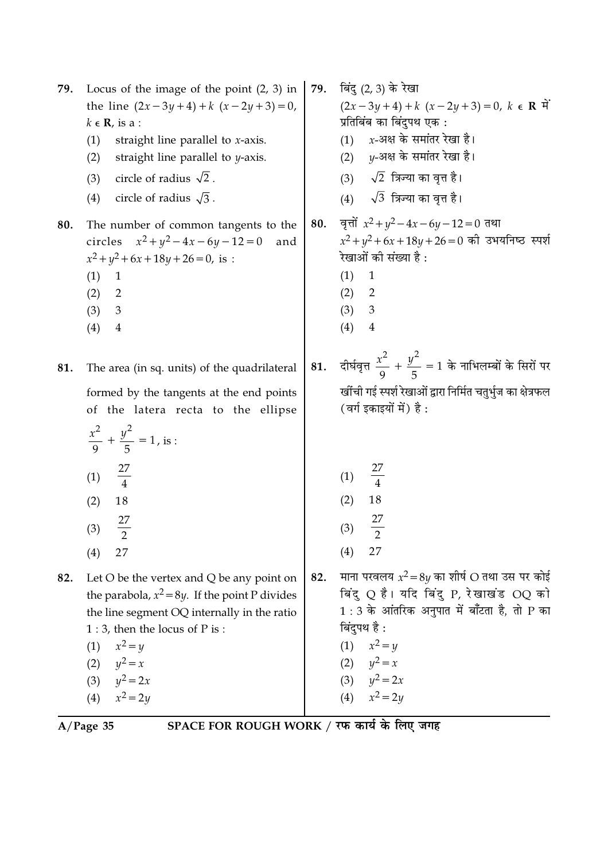| 79. | Locus of the image of the point $(2, 3)$ in<br>the line $(2x-3y+4)+k(x-2y+3)=0$ ,<br>$k \in \mathbb{R}$ , is a :<br>straight line parallel to $x$ -axis.<br>(1)<br>straight line parallel to <i>y</i> -axis.<br>(2)<br>circle of radius $\sqrt{2}$ .<br>(3)<br>circle of radius $\sqrt{3}$ .<br>(4) |     | <b>79.</b> बिंदु (2, 3) के रेखा<br>$(2x-3y+4)+k(x-2y+3)=0, k \in \mathbb{R}$<br>प्रतिबिंब का बिंदुपथ एक :<br>$x$ -अक्ष के समांतर रेखा है।<br>(1)<br>(2) $y$ -अक्ष के समांतर रेखा है।<br>(3) $\sqrt{2}$ त्रिज्या का वृत्त है।<br>(4) $\sqrt{3}$ त्रिज्या का वृत्त है। |
|-----|-----------------------------------------------------------------------------------------------------------------------------------------------------------------------------------------------------------------------------------------------------------------------------------------------------|-----|----------------------------------------------------------------------------------------------------------------------------------------------------------------------------------------------------------------------------------------------------------------------|
| 80. | The number of common tangents to the<br>circles $x^2 + y^2 - 4x - 6y - 12 = 0$<br>and<br>$x^2 + y^2 + 6x + 18y + 26 = 0$ , is :<br>(1)<br>1<br>(2)<br>2<br>(3)<br>3<br>(4)<br>$\overline{4}$                                                                                                        | 80. | वृत्तों $x^2 + y^2 - 4x - 6y - 12 = 0$ तथा<br>$x^2 + y^2 + 6x + 18y + 26 = 0$ की उभयनिष्ठ स्पर्श<br>रेखाओं की संख्या है :<br>(1)<br>$\mathbf{1}$<br>$\overline{2}$<br>(2)<br>(3)<br>$\mathfrak{Z}$<br>(4)<br>$\overline{4}$                                          |
| 81. | The area (in sq. units) of the quadrilateral<br>formed by the tangents at the end points<br>of the latera recta to the ellipse<br>$rac{x^2}{9} + \frac{y^2}{5} = 1$ , is :<br>(1) $\frac{27}{4}$<br>18<br>(2)<br>27<br>(3)<br>$\overline{2}$                                                        | 81. | दीर्घवृत्त $\frac{x^2}{9} + \frac{y^2}{5} = 1$ के नाभिलम्बों के सिरों पर<br>खींची गई स्पर्श रेखाओं द्वारा निर्मित चतुर्भुज का क्षेत्रफल<br>(वर्ग इकाइयों में) है :<br>(1)<br>18<br>(2)<br>27<br>(3)<br>$\overline{2}$<br>27                                          |
| 82. | (4)<br>27<br>Let O be the vertex and Q be any point on<br>the parabola, $x^2 = 8y$ . If the point P divides<br>the line segment OQ internally in the ratio<br>$1:3$ , then the locus of P is :<br>$x^2 = y$<br>(1)<br>(2)<br>$y^2 = x$<br>(3) $y^2 = 2x$<br>$x^2 = 2y$<br>(4)                       | 82. | (4)<br>माना परवलय $x^2 = 8y$ का शीर्ष O तथा उस पर कोई<br>बिंदु Q है। यदि बिंदु P, रेखाखंड OQ को<br>$1:3$ के आंतरिक अनुपात में बाँटता है, तो P का<br>बिंदुपथ है :<br>(1) $x^2 = y$<br>(2) $y^2 = x$<br>(3) $y^2 = 2x$<br>(4) $x^2 = 2y$                               |

 $\overline{A/Page 35}$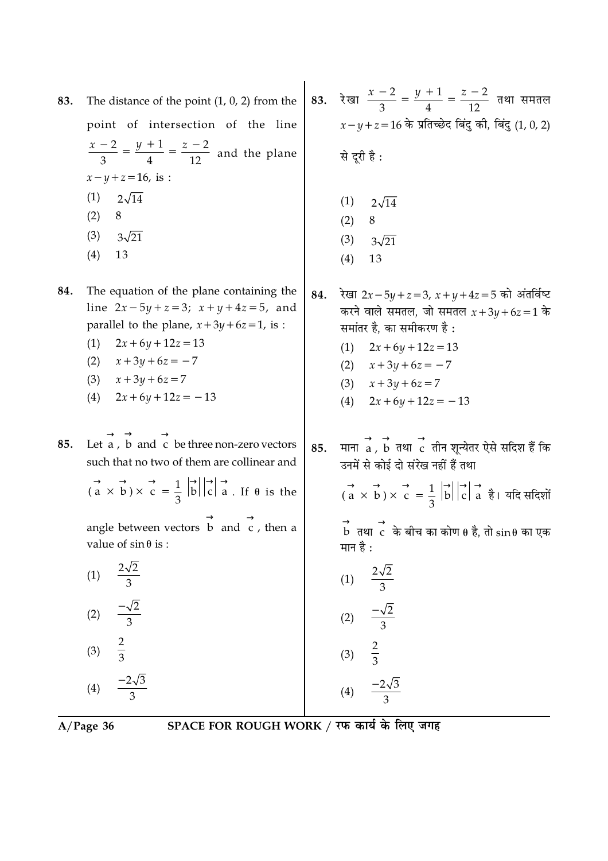| $A/Page$ 36                                                                                                                                                                                                                                                                                                                                                        | SPACE FOR ROUGH WORK / रफ कार्य के लिए जगह                                                                                                                                                                                                                                                                                              |
|--------------------------------------------------------------------------------------------------------------------------------------------------------------------------------------------------------------------------------------------------------------------------------------------------------------------------------------------------------------------|-----------------------------------------------------------------------------------------------------------------------------------------------------------------------------------------------------------------------------------------------------------------------------------------------------------------------------------------|
| $\frac{-2\sqrt{3}}{2}$<br>(4)                                                                                                                                                                                                                                                                                                                                      | $\frac{-2\sqrt{3}}{2}$<br>(4)                                                                                                                                                                                                                                                                                                           |
| $rac{2}{3}$<br>(3)                                                                                                                                                                                                                                                                                                                                                 | (3) $\frac{2}{3}$                                                                                                                                                                                                                                                                                                                       |
| $\frac{-\sqrt{2}}{3}$<br>(2)                                                                                                                                                                                                                                                                                                                                       | (2) $\frac{-\sqrt{2}}{3}$                                                                                                                                                                                                                                                                                                               |
| $\frac{2\sqrt{2}}{3}$<br>(1)                                                                                                                                                                                                                                                                                                                                       | (1) $\frac{2\sqrt{2}}{3}$                                                                                                                                                                                                                                                                                                               |
| angle between vectors $\overrightarrow{b}$ and $\overrightarrow{c}$ , then a<br>value of $\sin \theta$ is :                                                                                                                                                                                                                                                        | $\stackrel{\rightarrow}{\rm b}$ तथा $\stackrel{\rightarrow}{\rm c}$ के बीच का कोण $\theta$ है, तो $\sin\theta$ का एक<br>मान है :                                                                                                                                                                                                        |
| Let a, b and c be three non-zero vectors<br>85.<br>such that no two of them are collinear and<br>$\overrightarrow{a}$ $\overrightarrow{b}$ $\overrightarrow{c}$ = $\frac{1}{3}$ $\overrightarrow{b}$ $\overrightarrow{c}$ = $\frac{1}{2}$ $\overrightarrow{b}$ $\overrightarrow{c}$ = $\frac{1}{2}$ $\overrightarrow{d}$ $\overrightarrow{a}$ . If $\theta$ is the | माना $\overrightarrow{a}$ , $\overrightarrow{b}$ तथा $\overrightarrow{c}$ तीन शून्येतर ऐसे सदिश हैं कि<br>85.<br>उनमें से कोई दो संरेख नहीं हैं तथा<br>$\overrightarrow{a}$ $\overrightarrow{b}$ $\overrightarrow{c}$ = $\frac{1}{3}$ $\overrightarrow{b}$ $\overrightarrow{c}$ $\overrightarrow{a}$ $\overrightarrow{c}$   यदि संदिशों |
| 84.<br>The equation of the plane containing the<br>line $2x - 5y + z = 3$ ; $x + y + 4z = 5$ , and<br>parallel to the plane, $x + 3y + 6z = 1$ , is :<br>(1)<br>$2x + 6y + 12z = 13$<br>$x + 3y + 6z = -7$<br>(2)<br>$x + 3y + 6z = 7$<br>(3)<br>$2x+6y+12z=-13$<br>(4)                                                                                            | रेखा 2x – 5y + z = 3, x + y + 4z = 5 को अंतर्विष्ट<br>84.<br>करने वाले समतल, जो समतल $x+3y+6z=1$ के<br>समांतर है, का समीकरण है :<br>(1)<br>$2x + 6y + 12z = 13$<br>(2) $x + 3y + 6z = -7$<br>(3) $x + 3y + 6z = 7$<br>$2x+6y+12z = -13$<br>(4)                                                                                          |
| The distance of the point $(1, 0, 2)$ from the<br>83.<br>point of intersection of the line<br>$\frac{x-2}{3} = \frac{y+1}{4} = \frac{z-2}{12}$ and the plane<br>$x - y + z = 16$ , is :<br>(1)<br>$2\sqrt{14}$<br>$8\,$<br>(2)<br>(3)<br>$3\sqrt{21}$<br>(4)<br>13                                                                                                 | रेखा $\frac{x-2}{3} = \frac{y+1}{4} = \frac{z-2}{12}$ तथा समतल<br>83.<br>$x-y+z=16$ के प्रतिच्छेद बिंदु की, बिंदु (1, 0, 2)<br>से दूरी है :<br>(1)<br>$2\sqrt{14}$<br>(2)<br>8<br>(3)<br>$3\sqrt{21}$<br>13<br>(4)                                                                                                                      |
|                                                                                                                                                                                                                                                                                                                                                                    |                                                                                                                                                                                                                                                                                                                                         |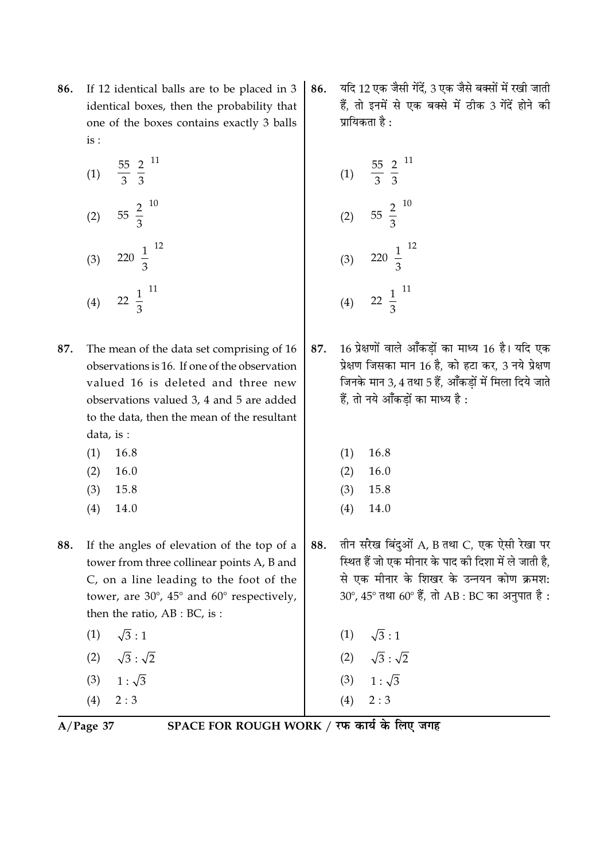- If 12 identical balls are to be placed in 3 86. identical boxes, then the probability that one of the boxes contains exactly 3 balls  $is:$ 
	- $rac{55}{3} igg( \frac{2}{3} igg)$ <sup>11</sup>  $(1)$ (2)  $55\left(\frac{2}{3}\right)^{10}$ (3)  $220\left(\frac{1}{3}\right)^{12}$  $22\left(\frac{1}{3}\right)^{11}$  $(4)$
- 87. The mean of the data set comprising of 16 observations is 16. If one of the observation valued 16 is deleted and three new observations valued 3, 4 and 5 are added to the data, then the mean of the resultant data, is :
	- $(1)$ 16.8
	- $(2)$ 16.0
	- $(3)$ 15.8
	- $(4)$ 14.0
- If the angles of elevation of the top of a 88. tower from three collinear points A, B and C, on a line leading to the foot of the tower, are 30°, 45° and 60° respectively, then the ratio,  $AB : BC$ , is:
	- $\sqrt{3}:1$  $(1)$  $\sqrt{3}$  :  $\sqrt{2}$  $(2)$  $1:\sqrt{3}$  $(3)$
	- $2:3$  $(4)$
	-

यदि 12 एक जैसी गेंदें. 3 एक जैसे बक्सों में रखी जाती 86. हैं, तो इनमें से एक बक्से में ठीक 3 गेंदें होने की पायिकता है $\cdot$ 

(1) 
$$
\frac{55}{3} \left(\frac{2}{3}\right)^{11}
$$
  
\n(2)  $55 \left(\frac{2}{3}\right)^{10}$   
\n(3)  $220 \left(\frac{1}{3}\right)^{12}$   
\n(4)  $22 \left(\frac{1}{3}\right)^{11}$ 

- 16 प्रेक्षणों वाले आँकडों का माध्य 16 है। यदि एक 87. प्रेक्षण जिसका मान 16 है. को हटा कर. 3 नये प्रेक्षण जिनके मान 3, 4 तथा 5 हैं. आँकडों में मिला दिये जाते हैं. तो नये आँकडों का माध्य है :
	- $(1)$ 16.8
	- $(2)$ 16.0
	- $(3)$ 15.8
	- $(4)$ 14.0
- तीन सरेख बिंदुओं A, B तथा C, एक ऐसी रेखा पर 88. स्थित हैं जो एक मीनार के पाद की दिशा में ले जाती है. से एक मीनार के शिखर के उन्नयन कोण क्रमश: 30°, 45° तथा 60° हैं, तो AB : BC का अनुपात है :
	- $\sqrt{3}:1$  $(1)$
	- $\sqrt{3}:\sqrt{2}$  $(2)$
	- (3)  $1:\sqrt{3}$
	- $2:3$  $(4)$
	-

 $A/Page$  37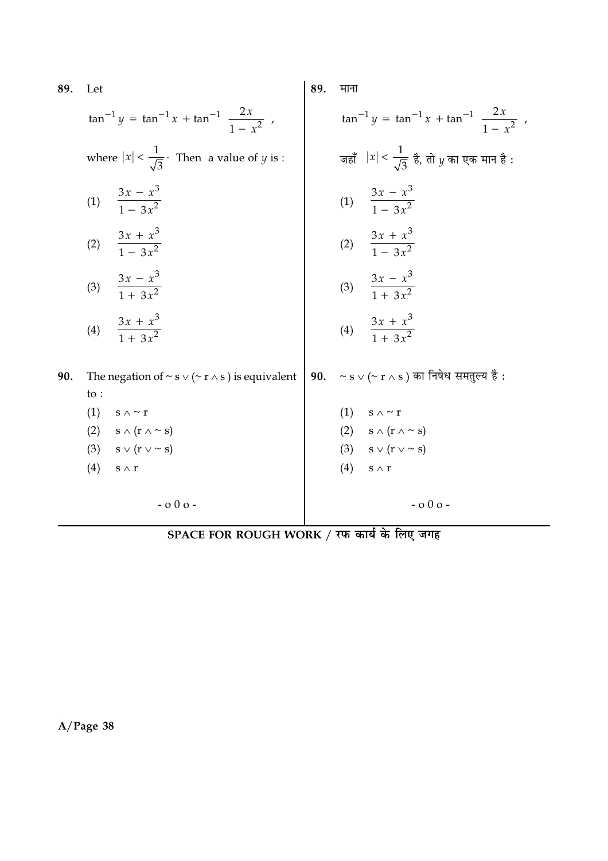| 89. | Let                                                                          | 89. | माना                                                                      |
|-----|------------------------------------------------------------------------------|-----|---------------------------------------------------------------------------|
|     | $\tan^{-1} y = \tan^{-1} x + \tan^{-1} \left( \frac{2x}{1 - x^2} \right)$    |     | $\tan^{-1} y = \tan^{-1} x + \tan^{-1} \left( \frac{2x}{1 - x^2} \right)$ |
|     | where $ x  < \frac{1}{\sqrt{3}}$ . Then a value of <i>y</i> is :             |     | जहाँ $ x  < \frac{1}{\sqrt{3}}$ है, तो $y$ का एक मान है :                 |
|     | (1) $\frac{3x - x^3}{1 - 3x^2}$                                              |     | (1) $\frac{3x - x^3}{1 - 3x^2}$                                           |
|     | (2) $\frac{3x + x^3}{1 - 3x^2}$                                              |     | (2) $\frac{3x + x^3}{1 - 3x^2}$                                           |
|     | (3) $\frac{3x - x^3}{1 + 3x^2}$                                              |     | (3) $\frac{3x - x^3}{1 + 3x^2}$                                           |
|     | (4) $\frac{3x + x^3}{1 + 3x^2}$                                              |     | (4) $\frac{3x + x^3}{1 + 3x^2}$                                           |
| 90. | The negation of $\sim$ s $\vee$ ( $\sim$ r $\wedge$ s) is equivalent<br>to : | 90. | $\sim$ s $\lor$ (~ r $\land$ s ) का निषेध समतुल्य है :                    |
|     | (1)<br>s $\wedge$ $\sim$ r                                                   |     | $(1)$ s $\wedge \sim r$                                                   |
|     | (2) $s \wedge (r \wedge \sim s)$                                             |     | (2) $s \wedge (r \wedge \sim s)$                                          |
|     | (3) $s \vee (r \vee \sim s)$                                                 |     | (3) $s \vee (r \vee \sim s)$                                              |
|     | (4)<br>$s \wedge r$                                                          |     | (4)<br>$S \wedge T$                                                       |
|     | $-0.00 -$                                                                    |     | $-0.00 -$                                                                 |

SPACE FOR ROUGH WORK / रफ कार्य के लिए जगह

 $A/Page$  38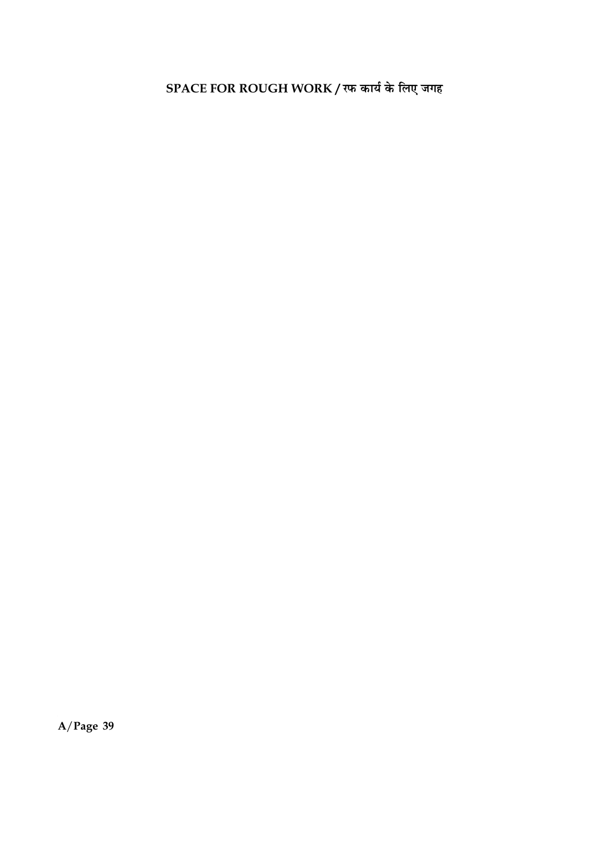SPACE FOR ROUGH WORK / रफ कार्य के लिए जगह

 $A/Page$  39